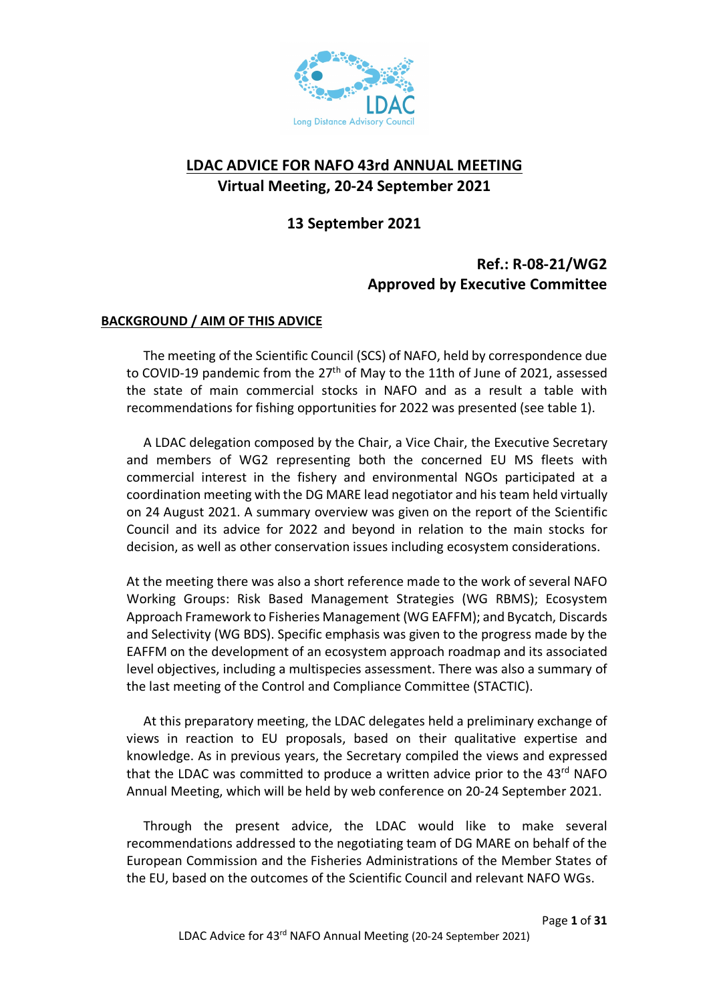

# **LDAC ADVICE FOR NAFO 43rd ANNUAL MEETING Virtual Meeting, 20-24 September 2021**

## **13 September 2021**

## **Ref.: R-08-21/WG2 Approved by Executive Committee**

#### **BACKGROUND / AIM OF THIS ADVICE**

The meeting of the Scientific Council (SCS) of NAFO, held by correspondence due to COVID-19 pandemic from the 27<sup>th</sup> of May to the 11th of June of 2021, assessed the state of main commercial stocks in NAFO and as a result a table with recommendations for fishing opportunities for 2022 was presented (see table 1).

A LDAC delegation composed by the Chair, a Vice Chair, the Executive Secretary and members of WG2 representing both the concerned EU MS fleets with commercial interest in the fishery and environmental NGOs participated at a coordination meeting with the DG MARE lead negotiator and his team held virtually on 24 August 2021. A summary overview was given on the report of the Scientific Council and its advice for 2022 and beyond in relation to the main stocks for decision, as well as other conservation issues including ecosystem considerations.

At the meeting there was also a short reference made to the work of several NAFO Working Groups: Risk Based Management Strategies (WG RBMS); Ecosystem Approach Framework to Fisheries Management (WG EAFFM); and Bycatch, Discards and Selectivity (WG BDS). Specific emphasis was given to the progress made by the EAFFM on the development of an ecosystem approach roadmap and its associated level objectives, including a multispecies assessment. There was also a summary of the last meeting of the Control and Compliance Committee (STACTIC).

At this preparatory meeting, the LDAC delegates held a preliminary exchange of views in reaction to EU proposals, based on their qualitative expertise and knowledge. As in previous years, the Secretary compiled the views and expressed that the LDAC was committed to produce a written advice prior to the 43<sup>rd</sup> NAFO Annual Meeting, which will be held by web conference on 20-24 September 2021.

Through the present advice, the LDAC would like to make several recommendations addressed to the negotiating team of DG MARE on behalf of the European Commission and the Fisheries Administrations of the Member States of the EU, based on the outcomes of the Scientific Council and relevant NAFO WGs.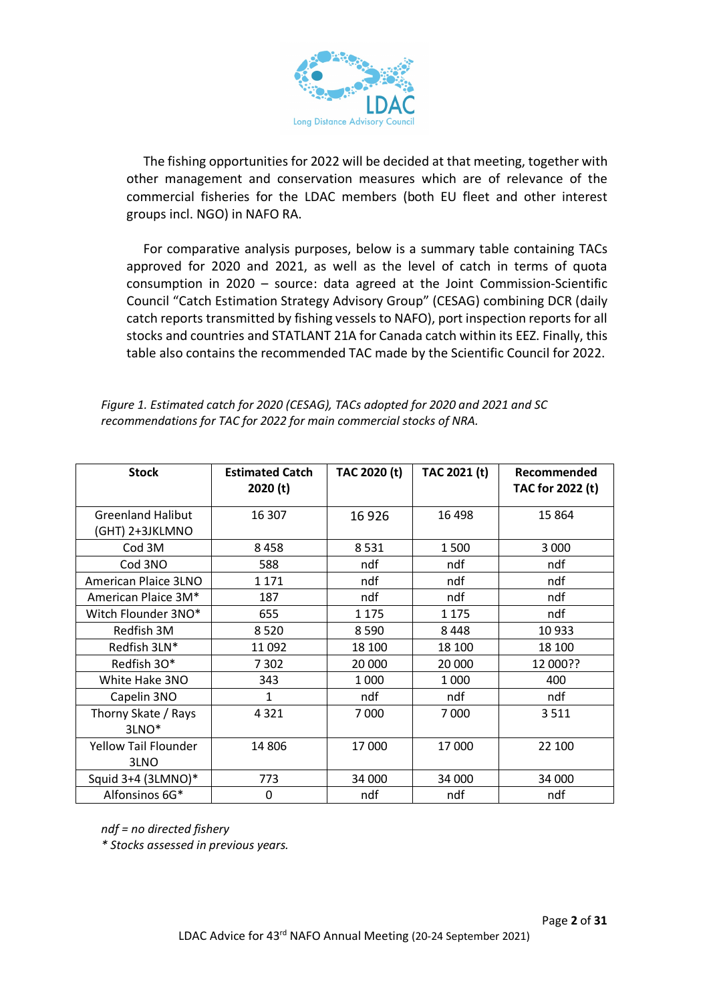

The fishing opportunities for 2022 will be decided at that meeting, together with other management and conservation measures which are of relevance of the commercial fisheries for the LDAC members (both EU fleet and other interest groups incl. NGO) in NAFO RA.

For comparative analysis purposes, below is a summary table containing TACs approved for 2020 and 2021, as well as the level of catch in terms of quota consumption in 2020 – source: data agreed at the Joint Commission-Scientific Council "Catch Estimation Strategy Advisory Group" (CESAG) combining DCR (daily catch reports transmitted by fishing vessels to NAFO), port inspection reports for all stocks and countries and STATLANT 21A for Canada catch within its EEZ. Finally, this table also contains the recommended TAC made by the Scientific Council for 2022.

| Figure 1. Estimated catch for 2020 (CESAG), TACs adopted for 2020 and 2021 and SC |
|-----------------------------------------------------------------------------------|
| recommendations for TAC for 2022 for main commercial stocks of NRA.               |

| <b>Stock</b>                                | <b>Estimated Catch</b><br>2020 (t) | TAC 2020 (t) | TAC 2021 (t) | Recommended<br>TAC for 2022 (t) |
|---------------------------------------------|------------------------------------|--------------|--------------|---------------------------------|
| <b>Greenland Halibut</b><br>(GHT) 2+3JKLMNO | 16 307                             | 16926        | 16 4 98      | 15 8 64                         |
| Cod 3M                                      | 8458                               | 8531         | 1500         | 3 0 0 0                         |
| Cod 3NO                                     | 588                                | ndf          | ndf          | ndf                             |
| American Plaice 3LNO                        | 1 1 7 1                            | ndf          | ndf          | ndf                             |
| American Plaice 3M*                         | 187                                | ndf          | ndf          | ndf                             |
| Witch Flounder 3NO*                         | 655                                | 1 1 7 5      | 1 1 7 5      | ndf                             |
| Redfish 3M                                  | 8520                               | 8590         | 8448         | 10933                           |
| Redfish 3LN*                                | 11 092                             | 18 100       | 18 100       | 18 100                          |
| Redfish 30*                                 | 7 3 0 2                            | 20 000       | 20 000       | 12 000??                        |
| White Hake 3NO                              | 343                                | 1 0 0 0      | 1 0 0 0      | 400                             |
| Capelin 3NO                                 | 1                                  | ndf          | ndf          | ndf                             |
| Thorny Skate / Rays<br>3LNO <sup>*</sup>    | 4321                               | 7000         | 7000         | 3511                            |
| <b>Yellow Tail Flounder</b><br>3LNO         | 14 806                             | 17 000       | 17000        | 22 100                          |
| Squid 3+4 (3LMNO)*                          | 773                                | 34 000       | 34 000       | 34 000                          |
| Alfonsinos 6G*                              | 0                                  | ndf          | ndf          | ndf                             |

*ndf = no directed fishery*

*\* Stocks assessed in previous years.*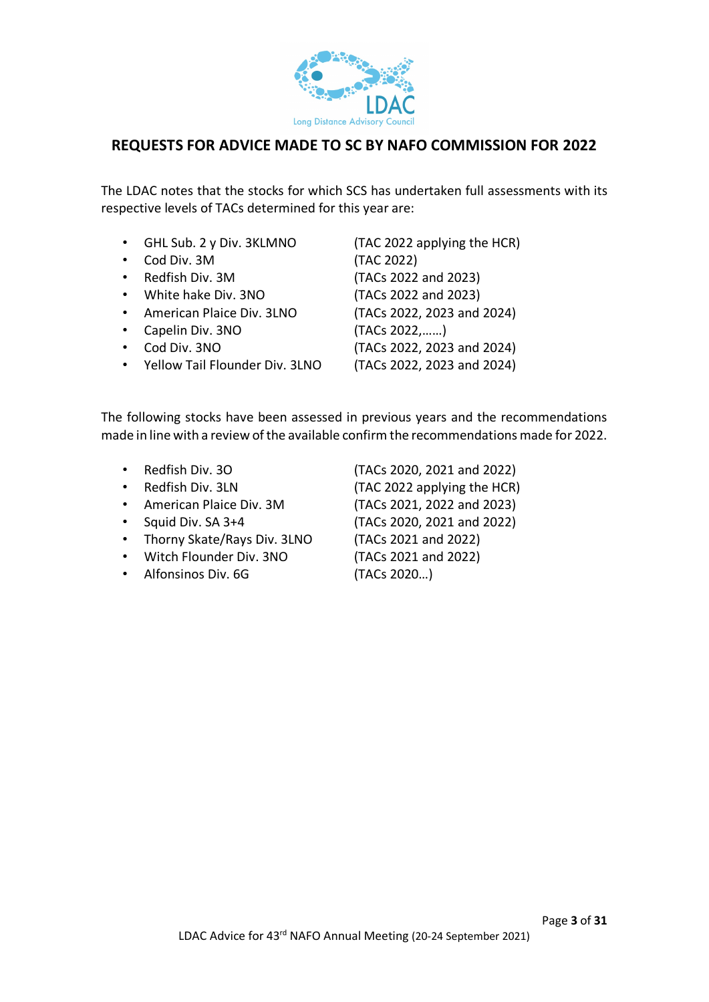

## **REQUESTS FOR ADVICE MADE TO SC BY NAFO COMMISSION FOR 2022**

The LDAC notes that the stocks for which SCS has undertaken full assessments with its respective levels of TACs determined for this year are:

- GHL Sub. 2 y Div. 3KLMNO (TAC 2022 applying the HCR)
- Cod Div. 3M (TAC 2022)
- 
- White hake Div. 3NO (TACs 2022 and 2023)
- American Plaice Div. 3LNO (TACs 2022, 2023 and 2024)
- Capelin Div. 3NO (TACs 2022,……)
- Cod Div. 3NO (TACs 2022, 2023 and 2024)
- Yellow Tail Flounder Div. 3LNO (TACs 2022, 2023 and 2024)

• Redfish Div. 3M (TACs 2022 and 2023)

The following stocks have been assessed in previous years and the recommendations made in line with a review of the available confirm the recommendations made for 2022.

| Redfish Div. 30             | (TACs 2020, 2021 and 2022)  |
|-----------------------------|-----------------------------|
| Redfish Div. 3LN            | (TAC 2022 applying the HCR) |
| American Plaice Div. 3M     | (TACs 2021, 2022 and 2023)  |
| Squid Div. SA 3+4           | (TACs 2020, 2021 and 2022)  |
| Thorny Skate/Rays Div. 3LNO | (TACs 2021 and 2022)        |
| Witch Flounder Div. 3NO     | (TACs 2021 and 2022)        |
| Alfonsinos Div. 6G          | (TACs 2020)                 |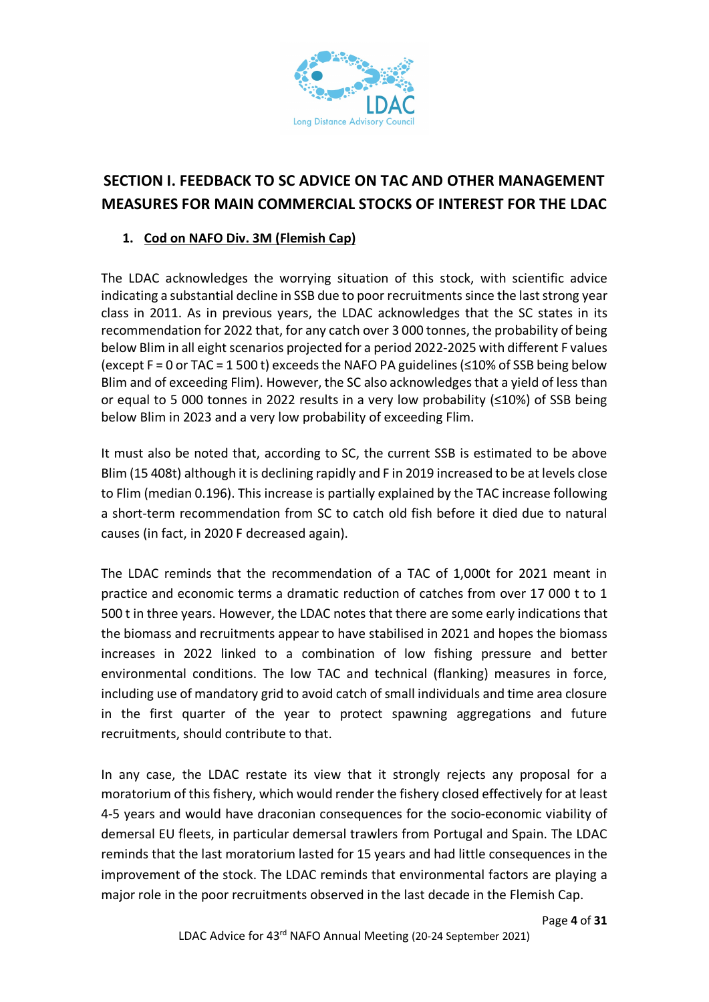

# **SECTION I. FEEDBACK TO SC ADVICE ON TAC AND OTHER MANAGEMENT MEASURES FOR MAIN COMMERCIAL STOCKS OF INTEREST FOR THE LDAC**

## **1. Cod on NAFO Div. 3M (Flemish Cap)**

The LDAC acknowledges the worrying situation of this stock, with scientific advice indicating a substantial decline in SSB due to poor recruitments since the last strong year class in 2011. As in previous years, the LDAC acknowledges that the SC states in its recommendation for 2022 that, for any catch over 3 000 tonnes, the probability of being below Blim in all eight scenarios projected for a period 2022-2025 with different F values (except F = 0 or TAC = 1 500 t) exceeds the NAFO PA guidelines(≤10% of SSB being below Blim and of exceeding Flim). However, the SC also acknowledges that a yield of less than or equal to 5 000 tonnes in 2022 results in a very low probability ( $\leq$ 10%) of SSB being below Blim in 2023 and a very low probability of exceeding Flim.

It must also be noted that, according to SC, the current SSB is estimated to be above Blim (15 408t) although it is declining rapidly and F in 2019 increased to be at levels close to Flim (median 0.196). This increase is partially explained by the TAC increase following a short-term recommendation from SC to catch old fish before it died due to natural causes (in fact, in 2020 F decreased again).

The LDAC reminds that the recommendation of a TAC of 1,000t for 2021 meant in practice and economic terms a dramatic reduction of catches from over 17 000 t to 1 500 t in three years. However, the LDAC notes that there are some early indications that the biomass and recruitments appear to have stabilised in 2021 and hopes the biomass increases in 2022 linked to a combination of low fishing pressure and better environmental conditions. The low TAC and technical (flanking) measures in force, including use of mandatory grid to avoid catch of small individuals and time area closure in the first quarter of the year to protect spawning aggregations and future recruitments, should contribute to that.

In any case, the LDAC restate its view that it strongly rejects any proposal for a moratorium of this fishery, which would render the fishery closed effectively for at least 4-5 years and would have draconian consequences for the socio-economic viability of demersal EU fleets, in particular demersal trawlers from Portugal and Spain. The LDAC reminds that the last moratorium lasted for 15 years and had little consequences in the improvement of the stock. The LDAC reminds that environmental factors are playing a major role in the poor recruitments observed in the last decade in the Flemish Cap.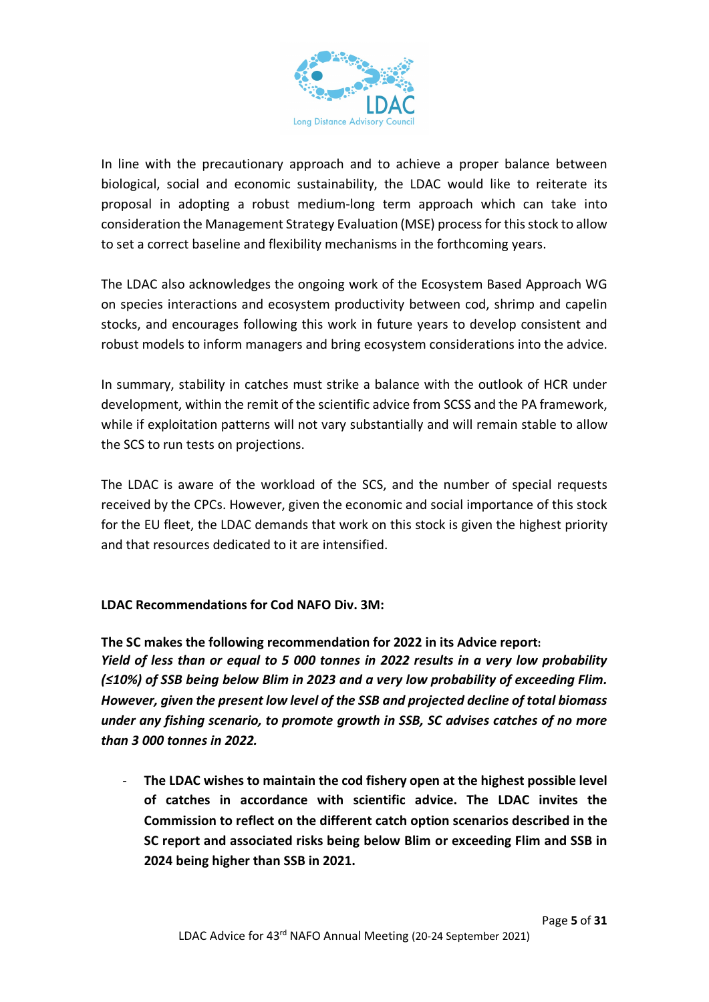

In line with the precautionary approach and to achieve a proper balance between biological, social and economic sustainability, the LDAC would like to reiterate its proposal in adopting a robust medium-long term approach which can take into consideration the Management Strategy Evaluation (MSE) process for this stock to allow to set a correct baseline and flexibility mechanisms in the forthcoming years.

The LDAC also acknowledges the ongoing work of the Ecosystem Based Approach WG on species interactions and ecosystem productivity between cod, shrimp and capelin stocks, and encourages following this work in future years to develop consistent and robust models to inform managers and bring ecosystem considerations into the advice.

In summary, stability in catches must strike a balance with the outlook of HCR under development, within the remit of the scientific advice from SCSS and the PA framework, while if exploitation patterns will not vary substantially and will remain stable to allow the SCS to run tests on projections.

The LDAC is aware of the workload of the SCS, and the number of special requests received by the CPCs. However, given the economic and social importance of this stock for the EU fleet, the LDAC demands that work on this stock is given the highest priority and that resources dedicated to it are intensified.

#### **LDAC Recommendations for Cod NAFO Div. 3M:**

**The SC makes the following recommendation for 2022 in its Advice report:** *Yield of less than or equal to 5 000 tonnes in 2022 results in a very low probability (≤10%) of SSB being below Blim in 2023 and a very low probability of exceeding Flim. However, given the present low level of the SSB and projected decline of total biomass under any fishing scenario, to promote growth in SSB, SC advises catches of no more than 3 000 tonnes in 2022.* 

- **The LDAC wishes to maintain the cod fishery open at the highest possible level of catches in accordance with scientific advice. The LDAC invites the Commission to reflect on the different catch option scenarios described in the SC report and associated risks being below Blim or exceeding Flim and SSB in 2024 being higher than SSB in 2021.**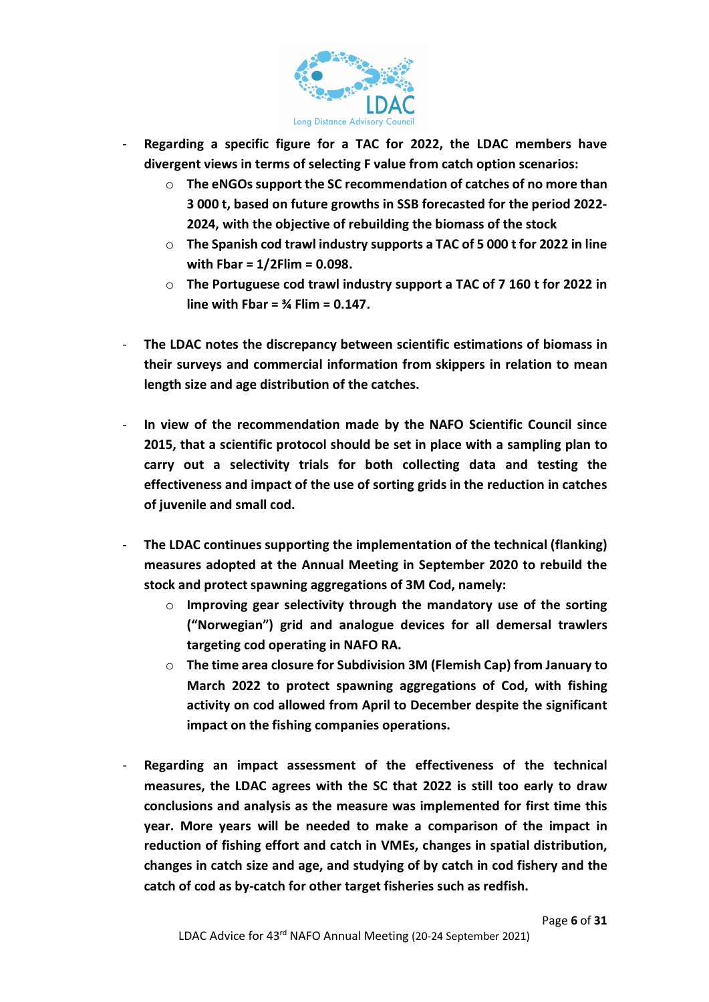

- **Regarding a specific figure for a TAC for 2022, the LDAC members have divergent views in terms of selecting F value from catch option scenarios:**
	- o **The eNGOs support the SC recommendation of catches of no more than 3 000 t, based on future growths in SSB forecasted for the period 2022- 2024, with the objective of rebuilding the biomass of the stock**
	- o **The Spanish cod trawl industry supports a TAC of 5 000 t for 2022 in line with Fbar = 1/2Flim = 0.098.**
	- o **The Portuguese cod trawl industry support a TAC of 7 160 t for 2022 in line with Fbar = ¾ Flim = 0.147.**
- **The LDAC notes the discrepancy between scientific estimations of biomass in their surveys and commercial information from skippers in relation to mean length size and age distribution of the catches.**
- **In view of the recommendation made by the NAFO Scientific Council since 2015, that a scientific protocol should be set in place with a sampling plan to carry out a selectivity trials for both collecting data and testing the effectiveness and impact of the use of sorting grids in the reduction in catches of juvenile and small cod.**
- **The LDAC continues supporting the implementation of the technical (flanking) measures adopted at the Annual Meeting in September 2020 to rebuild the stock and protect spawning aggregations of 3M Cod, namely:** 
	- o **Improving gear selectivity through the mandatory use of the sorting ("Norwegian") grid and analogue devices for all demersal trawlers targeting cod operating in NAFO RA.**
	- o **The time area closure for Subdivision 3M (Flemish Cap) from January to March 2022 to protect spawning aggregations of Cod, with fishing activity on cod allowed from April to December despite the significant impact on the fishing companies operations.**
- **Regarding an impact assessment of the effectiveness of the technical measures, the LDAC agrees with the SC that 2022 is still too early to draw conclusions and analysis as the measure was implemented for first time this year. More years will be needed to make a comparison of the impact in reduction of fishing effort and catch in VMEs, changes in spatial distribution, changes in catch size and age, and studying of by catch in cod fishery and the catch of cod as by-catch for other target fisheries such as redfish.**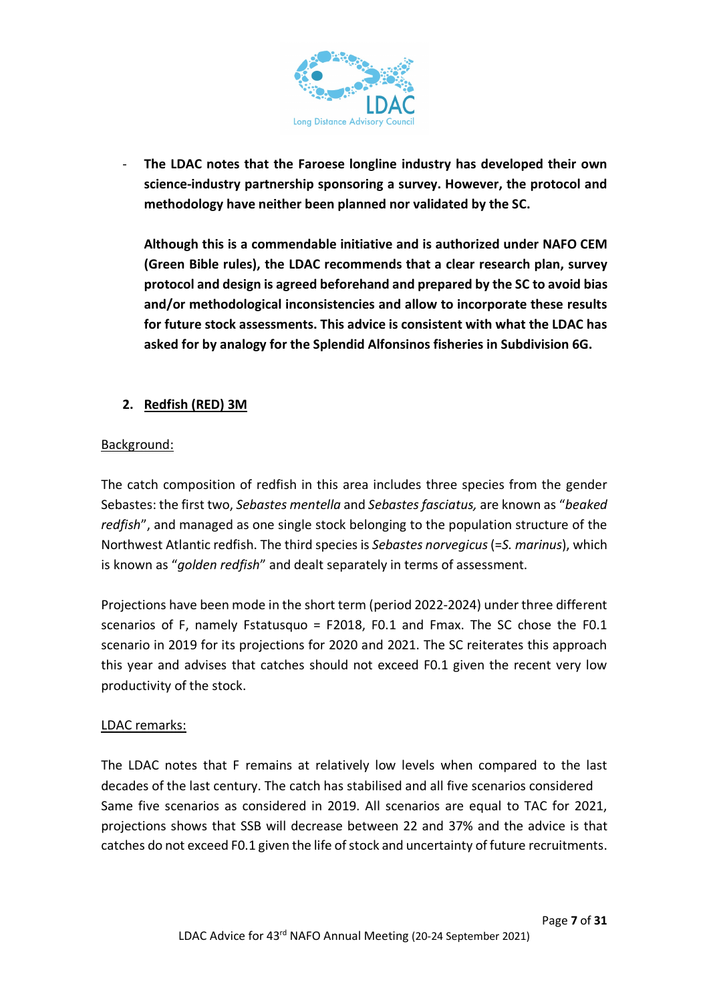

The LDAC notes that the Faroese longline industry has developed their own **science-industry partnership sponsoring a survey. However, the protocol and methodology have neither been planned nor validated by the SC.** 

**Although this is a commendable initiative and is authorized under NAFO CEM (Green Bible rules), the LDAC recommends that a clear research plan, survey protocol and design is agreed beforehand and prepared by the SC to avoid bias and/or methodological inconsistencies and allow to incorporate these results for future stock assessments. This advice is consistent with what the LDAC has asked for by analogy for the Splendid Alfonsinos fisheries in Subdivision 6G.**

## **2. Redfish (RED) 3M**

#### Background:

The catch composition of redfish in this area includes three species from the gender Sebastes: the first two, *Sebastes mentella* and *Sebastes fasciatus,* are known as "*beaked redfish*", and managed as one single stock belonging to the population structure of the Northwest Atlantic redfish. The third species is *Sebastes norvegicus*(=*S. marinus*), which is known as "*golden redfish*" and dealt separately in terms of assessment.

Projections have been mode in the short term (period 2022-2024) under three different scenarios of F, namely Fstatusquo = F2018, F0.1 and Fmax. The SC chose the F0.1 scenario in 2019 for its projections for 2020 and 2021. The SC reiterates this approach this year and advises that catches should not exceed F0.1 given the recent very low productivity of the stock.

#### LDAC remarks:

The LDAC notes that F remains at relatively low levels when compared to the last decades of the last century. The catch has stabilised and all five scenarios considered Same five scenarios as considered in 2019. All scenarios are equal to TAC for 2021, projections shows that SSB will decrease between 22 and 37% and the advice is that catches do not exceed F0.1 given the life of stock and uncertainty of future recruitments.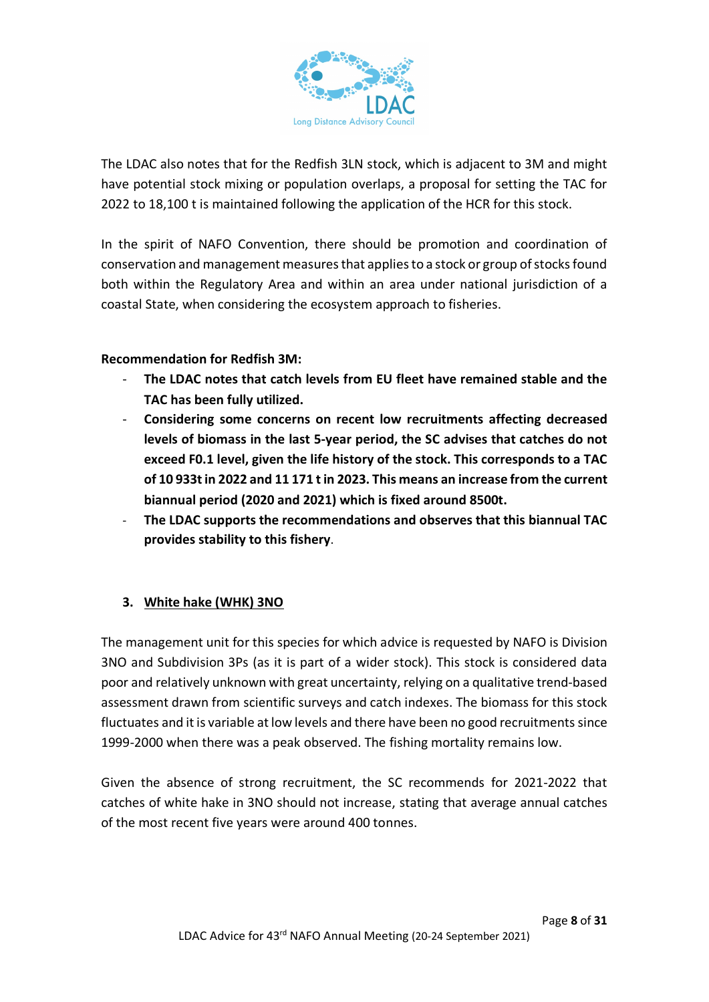

The LDAC also notes that for the Redfish 3LN stock, which is adjacent to 3M and might have potential stock mixing or population overlaps, a proposal for setting the TAC for 2022 to 18,100 t is maintained following the application of the HCR for this stock.

In the spirit of NAFO Convention, there should be promotion and coordination of conservation and management measures that applies to a stock or group of stocks found both within the Regulatory Area and within an area under national jurisdiction of a coastal State, when considering the ecosystem approach to fisheries.

#### **Recommendation for Redfish 3M:**

- **The LDAC notes that catch levels from EU fleet have remained stable and the TAC has been fully utilized.**
- **Considering some concerns on recent low recruitments affecting decreased levels of biomass in the last 5-year period, the SC advises that catches do not exceed F0.1 level, given the life history of the stock. This corresponds to a TAC of 10 933t in 2022 and 11 171 t in 2023. This means an increase from the current biannual period (2020 and 2021) which is fixed around 8500t.**
- **The LDAC supports the recommendations and observes that this biannual TAC provides stability to this fishery**.

## **3. White hake (WHK) 3NO**

The management unit for this species for which advice is requested by NAFO is Division 3NO and Subdivision 3Ps (as it is part of a wider stock). This stock is considered data poor and relatively unknown with great uncertainty, relying on a qualitative trend-based assessment drawn from scientific surveys and catch indexes. The biomass for this stock fluctuates and it is variable at low levels and there have been no good recruitments since 1999-2000 when there was a peak observed. The fishing mortality remains low.

Given the absence of strong recruitment, the SC recommends for 2021-2022 that catches of white hake in 3NO should not increase, stating that average annual catches of the most recent five years were around 400 tonnes.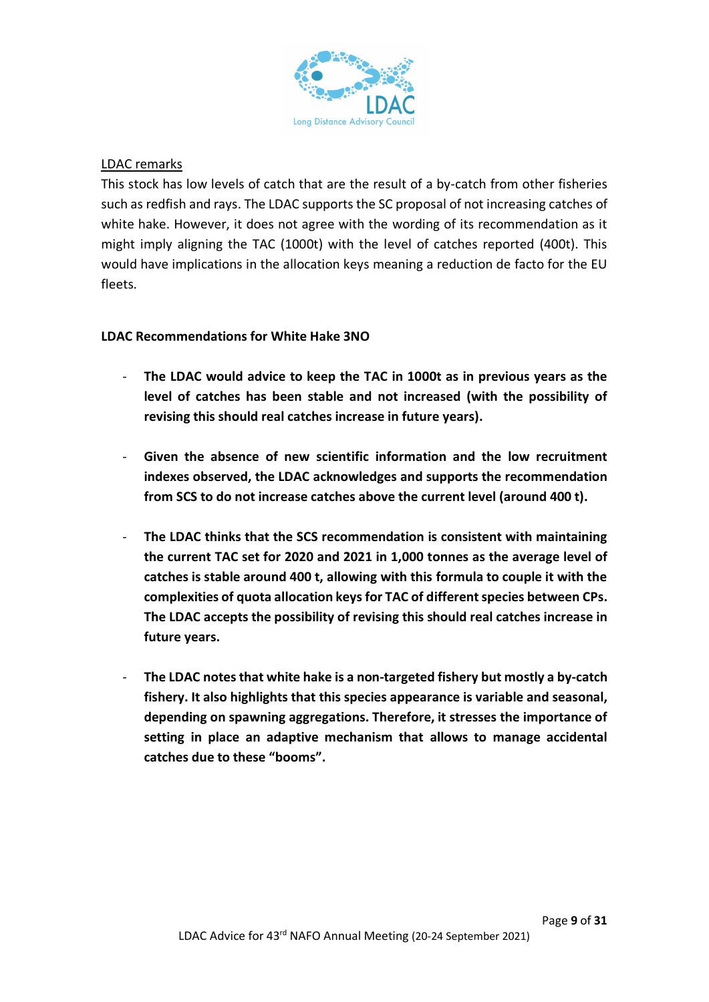

#### LDAC remarks

This stock has low levels of catch that are the result of a by-catch from other fisheries such as redfish and rays. The LDAC supports the SC proposal of not increasing catches of white hake. However, it does not agree with the wording of its recommendation as it might imply aligning the TAC (1000t) with the level of catches reported (400t). This would have implications in the allocation keys meaning a reduction de facto for the EU fleets.

#### **LDAC Recommendations for White Hake 3NO**

- **The LDAC would advice to keep the TAC in 1000t as in previous years as the level of catches has been stable and not increased (with the possibility of revising this should real catches increase in future years).**
- **Given the absence of new scientific information and the low recruitment indexes observed, the LDAC acknowledges and supports the recommendation from SCS to do not increase catches above the current level (around 400 t).**
- **The LDAC thinks that the SCS recommendation is consistent with maintaining the current TAC set for 2020 and 2021 in 1,000 tonnes as the average level of catches is stable around 400 t, allowing with this formula to couple it with the complexities of quota allocation keys for TAC of different species between CPs. The LDAC accepts the possibility of revising this should real catches increase in future years.**
- **The LDAC notes that white hake is a non-targeted fishery but mostly a by-catch fishery. It also highlights that this species appearance is variable and seasonal, depending on spawning aggregations. Therefore, it stresses the importance of setting in place an adaptive mechanism that allows to manage accidental catches due to these "booms".**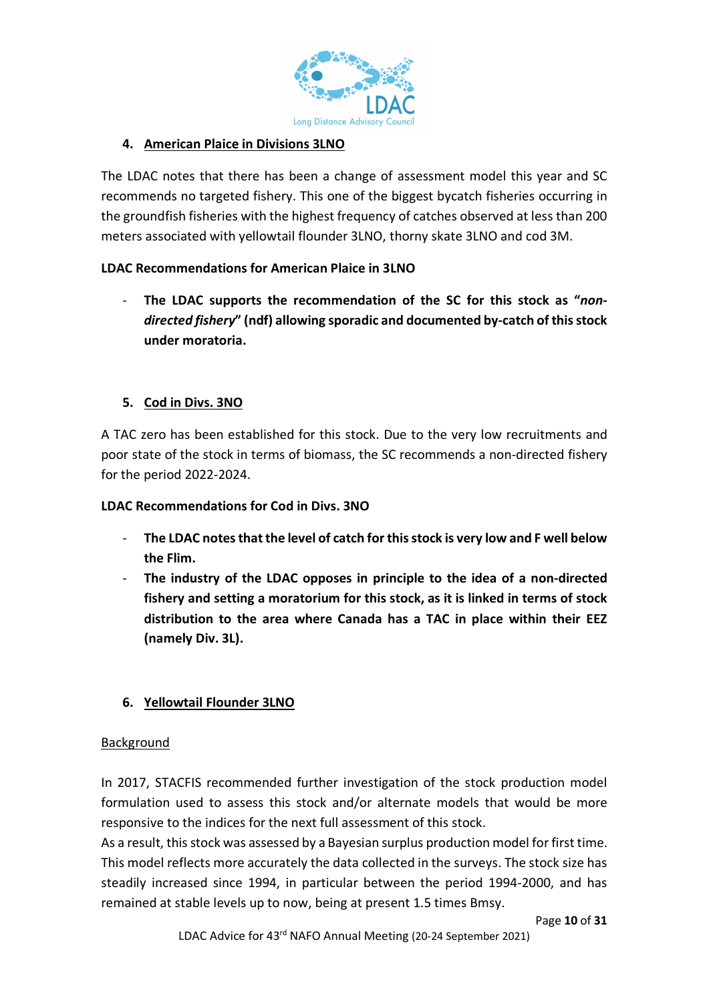

## **4. American Plaice in Divisions 3LNO**

The LDAC notes that there has been a change of assessment model this year and SC recommends no targeted fishery. This one of the biggest bycatch fisheries occurring in the groundfish fisheries with the highest frequency of catches observed at less than 200 meters associated with yellowtail flounder 3LNO, thorny skate 3LNO and cod 3M.

## **LDAC Recommendations for American Plaice in 3LNO**

The LDAC supports the recommendation of the SC for this stock as "non*directed fishery***" (ndf) allowing sporadic and documented by-catch of this stock under moratoria.**

## **5. Cod in Divs. 3NO**

A TAC zero has been established for this stock. Due to the very low recruitments and poor state of the stock in terms of biomass, the SC recommends a non-directed fishery for the period 2022-2024.

#### **LDAC Recommendations for Cod in Divs. 3NO**

- The LDAC notes that the level of catch for this stock is very low and F well below **the Flim.**
- **The industry of the LDAC opposes in principle to the idea of a non-directed fishery and setting a moratorium for this stock, as it is linked in terms of stock distribution to the area where Canada has a TAC in place within their EEZ (namely Div. 3L).**

#### **6. Yellowtail Flounder 3LNO**

#### Background

In 2017, STACFIS recommended further investigation of the stock production model formulation used to assess this stock and/or alternate models that would be more responsive to the indices for the next full assessment of this stock.

As a result, this stock was assessed by a Bayesian surplus production model for first time. This model reflects more accurately the data collected in the surveys. The stock size has steadily increased since 1994, in particular between the period 1994-2000, and has remained at stable levels up to now, being at present 1.5 times Bmsy.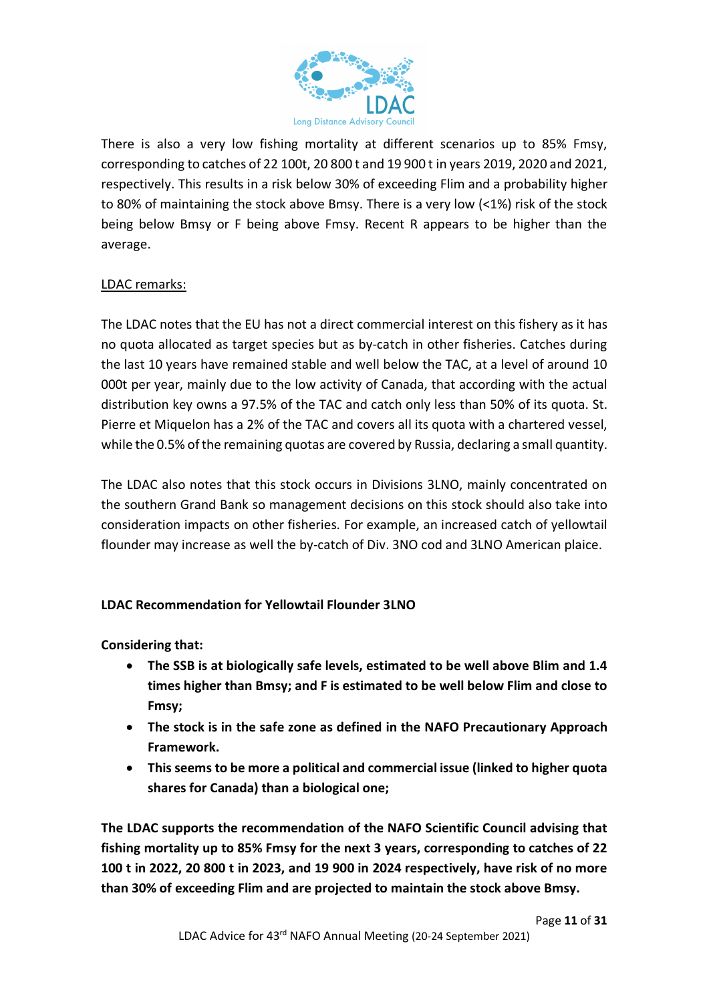

There is also a very low fishing mortality at different scenarios up to 85% Fmsy, corresponding to catches of 22 100t, 20 800 t and 19 900 t in years 2019, 2020 and 2021, respectively. This results in a risk below 30% of exceeding Flim and a probability higher to 80% of maintaining the stock above Bmsy. There is a very low (<1%) risk of the stock being below Bmsy or F being above Fmsy. Recent R appears to be higher than the average.

## LDAC remarks:

The LDAC notes that the EU has not a direct commercial interest on this fishery as it has no quota allocated as target species but as by-catch in other fisheries. Catches during the last 10 years have remained stable and well below the TAC, at a level of around 10 000t per year, mainly due to the low activity of Canada, that according with the actual distribution key owns a 97.5% of the TAC and catch only less than 50% of its quota. St. Pierre et Miquelon has a 2% of the TAC and covers all its quota with a chartered vessel, while the 0.5% of the remaining quotas are covered by Russia, declaring a small quantity.

The LDAC also notes that this stock occurs in Divisions 3LNO, mainly concentrated on the southern Grand Bank so management decisions on this stock should also take into consideration impacts on other fisheries. For example, an increased catch of yellowtail flounder may increase as well the by-catch of Div. 3NO cod and 3LNO American plaice.

#### **LDAC Recommendation for Yellowtail Flounder 3LNO**

**Considering that:** 

- **The SSB is at biologically safe levels, estimated to be well above Blim and 1.4 times higher than Bmsy; and F is estimated to be well below Flim and close to Fmsy;**
- **The stock is in the safe zone as defined in the NAFO Precautionary Approach Framework.**
- **This seems to be more a political and commercial issue (linked to higher quota shares for Canada) than a biological one;**

**The LDAC supports the recommendation of the NAFO Scientific Council advising that fishing mortality up to 85% Fmsy for the next 3 years, corresponding to catches of 22 100 t in 2022, 20 800 t in 2023, and 19 900 in 2024 respectively, have risk of no more than 30% of exceeding Flim and are projected to maintain the stock above Bmsy.**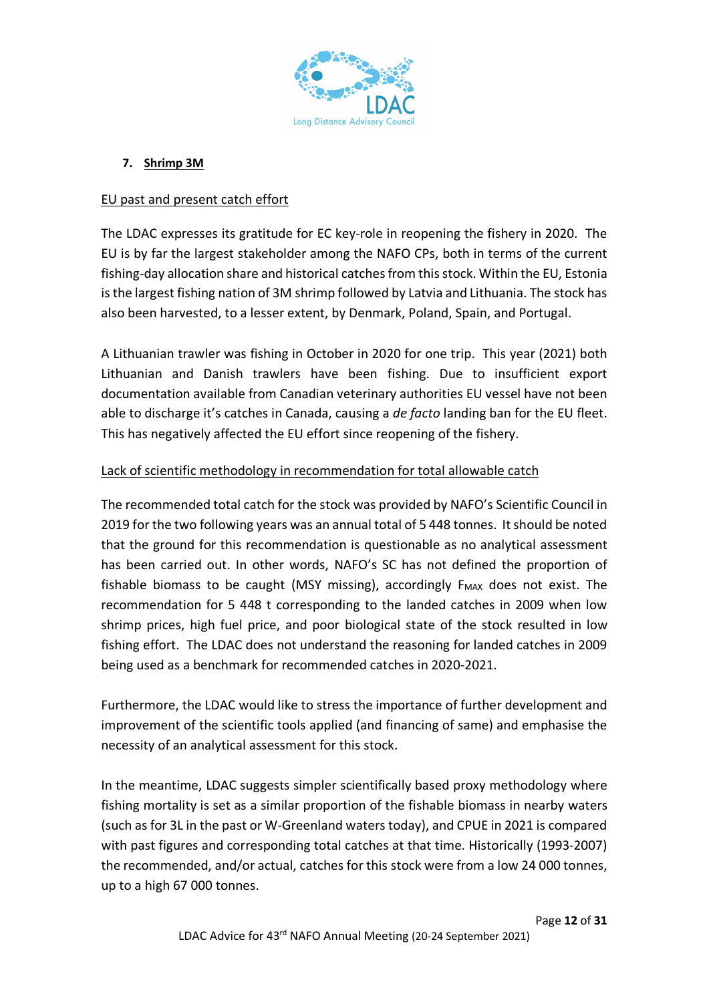

## **7. Shrimp 3M**

#### EU past and present catch effort

The LDAC expresses its gratitude for EC key-role in reopening the fishery in 2020. The EU is by far the largest stakeholder among the NAFO CPs, both in terms of the current fishing-day allocation share and historical catches from this stock. Within the EU, Estonia is the largest fishing nation of 3M shrimp followed by Latvia and Lithuania. The stock has also been harvested, to a lesser extent, by Denmark, Poland, Spain, and Portugal.

A Lithuanian trawler was fishing in October in 2020 for one trip. This year (2021) both Lithuanian and Danish trawlers have been fishing. Due to insufficient export documentation available from Canadian veterinary authorities EU vessel have not been able to discharge it's catches in Canada, causing a *de facto* landing ban for the EU fleet. This has negatively affected the EU effort since reopening of the fishery.

## Lack of scientific methodology in recommendation for total allowable catch

The recommended total catch for the stock was provided by NAFO's Scientific Council in 2019 for the two following years was an annual total of 5 448 tonnes. It should be noted that the ground for this recommendation is questionable as no analytical assessment has been carried out. In other words, NAFO's SC has not defined the proportion of fishable biomass to be caught (MSY missing), accordingly  $F_{MAX}$  does not exist. The recommendation for 5 448 t corresponding to the landed catches in 2009 when low shrimp prices, high fuel price, and poor biological state of the stock resulted in low fishing effort. The LDAC does not understand the reasoning for landed catches in 2009 being used as a benchmark for recommended catches in 2020-2021.

Furthermore, the LDAC would like to stress the importance of further development and improvement of the scientific tools applied (and financing of same) and emphasise the necessity of an analytical assessment for this stock.

In the meantime, LDAC suggests simpler scientifically based proxy methodology where fishing mortality is set as a similar proportion of the fishable biomass in nearby waters (such as for 3L in the past or W-Greenland waters today), and CPUE in 2021 is compared with past figures and corresponding total catches at that time. Historically (1993-2007) the recommended, and/or actual, catches for this stock were from a low 24 000 tonnes, up to a high 67 000 tonnes.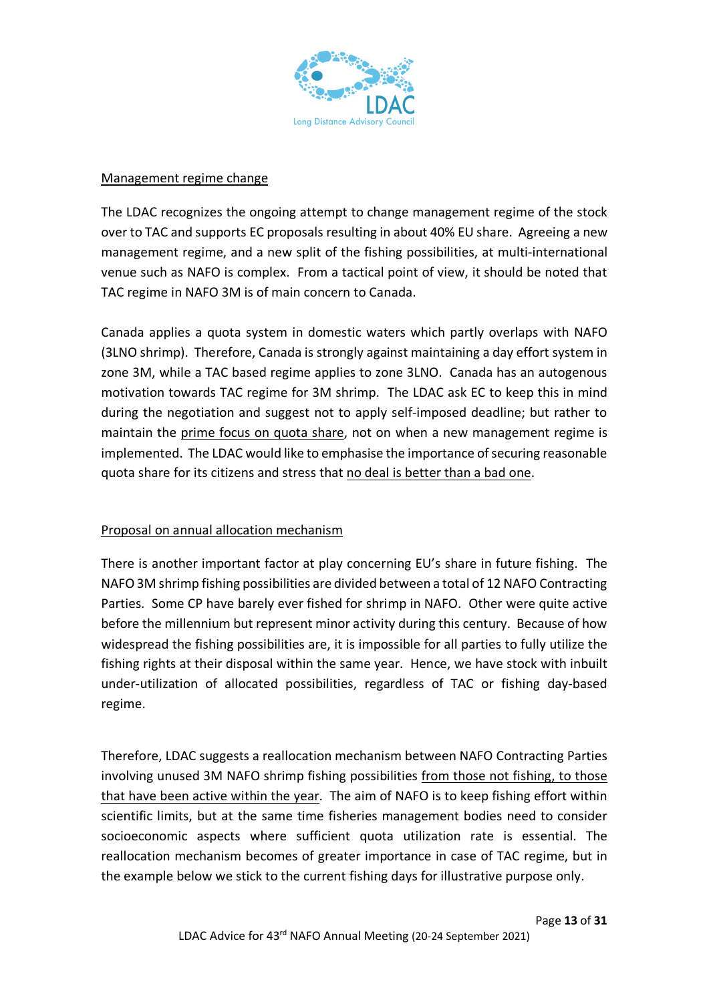

#### Management regime change

The LDAC recognizes the ongoing attempt to change management regime of the stock over to TAC and supports EC proposals resulting in about 40% EU share. Agreeing a new management regime, and a new split of the fishing possibilities, at multi-international venue such as NAFO is complex. From a tactical point of view, it should be noted that TAC regime in NAFO 3M is of main concern to Canada.

Canada applies a quota system in domestic waters which partly overlaps with NAFO (3LNO shrimp). Therefore, Canada is strongly against maintaining a day effort system in zone 3M, while a TAC based regime applies to zone 3LNO. Canada has an autogenous motivation towards TAC regime for 3M shrimp. The LDAC ask EC to keep this in mind during the negotiation and suggest not to apply self-imposed deadline; but rather to maintain the prime focus on quota share, not on when a new management regime is implemented. The LDAC would like to emphasise the importance of securing reasonable quota share for its citizens and stress that no deal is better than a bad one.

#### Proposal on annual allocation mechanism

There is another important factor at play concerning EU's share in future fishing. The NAFO 3M shrimp fishing possibilities are divided between a total of 12 NAFO Contracting Parties. Some CP have barely ever fished for shrimp in NAFO. Other were quite active before the millennium but represent minor activity during this century. Because of how widespread the fishing possibilities are, it is impossible for all parties to fully utilize the fishing rights at their disposal within the same year. Hence, we have stock with inbuilt under-utilization of allocated possibilities, regardless of TAC or fishing day-based regime.

Therefore, LDAC suggests a reallocation mechanism between NAFO Contracting Parties involving unused 3M NAFO shrimp fishing possibilities from those not fishing, to those that have been active within the year. The aim of NAFO is to keep fishing effort within scientific limits, but at the same time fisheries management bodies need to consider socioeconomic aspects where sufficient quota utilization rate is essential. The reallocation mechanism becomes of greater importance in case of TAC regime, but in the example below we stick to the current fishing days for illustrative purpose only.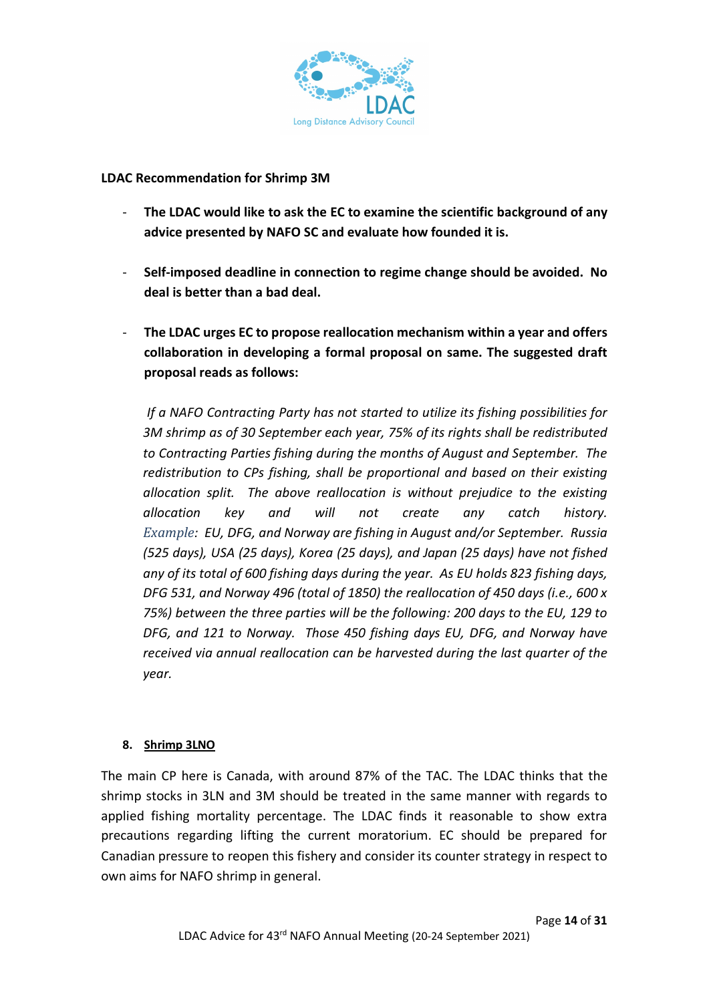

#### **LDAC Recommendation for Shrimp 3M**

- **The LDAC would like to ask the EC to examine the scientific background of any advice presented by NAFO SC and evaluate how founded it is.**
- **Self-imposed deadline in connection to regime change should be avoided. No deal is better than a bad deal.**
- **The LDAC urges EC to propose reallocation mechanism within a year and offers collaboration in developing a formal proposal on same. The suggested draft proposal reads as follows:**

*If a NAFO Contracting Party has not started to utilize its fishing possibilities for 3M shrimp as of 30 September each year, 75% of its rights shall be redistributed to Contracting Parties fishing during the months of August and September. The redistribution to CPs fishing, shall be proportional and based on their existing allocation split. The above reallocation is without prejudice to the existing allocation key and will not create any catch history. Example: EU, DFG, and Norway are fishing in August and/or September. Russia (525 days), USA (25 days), Korea (25 days), and Japan (25 days) have not fished any of its total of 600 fishing days during the year. As EU holds 823 fishing days, DFG 531, and Norway 496 (total of 1850) the reallocation of 450 days (i.e., 600 x 75%) between the three parties will be the following: 200 days to the EU, 129 to DFG, and 121 to Norway. Those 450 fishing days EU, DFG, and Norway have received via annual reallocation can be harvested during the last quarter of the year.*

#### **8. Shrimp 3LNO**

The main CP here is Canada, with around 87% of the TAC. The LDAC thinks that the shrimp stocks in 3LN and 3M should be treated in the same manner with regards to applied fishing mortality percentage. The LDAC finds it reasonable to show extra precautions regarding lifting the current moratorium. EC should be prepared for Canadian pressure to reopen this fishery and consider its counter strategy in respect to own aims for NAFO shrimp in general.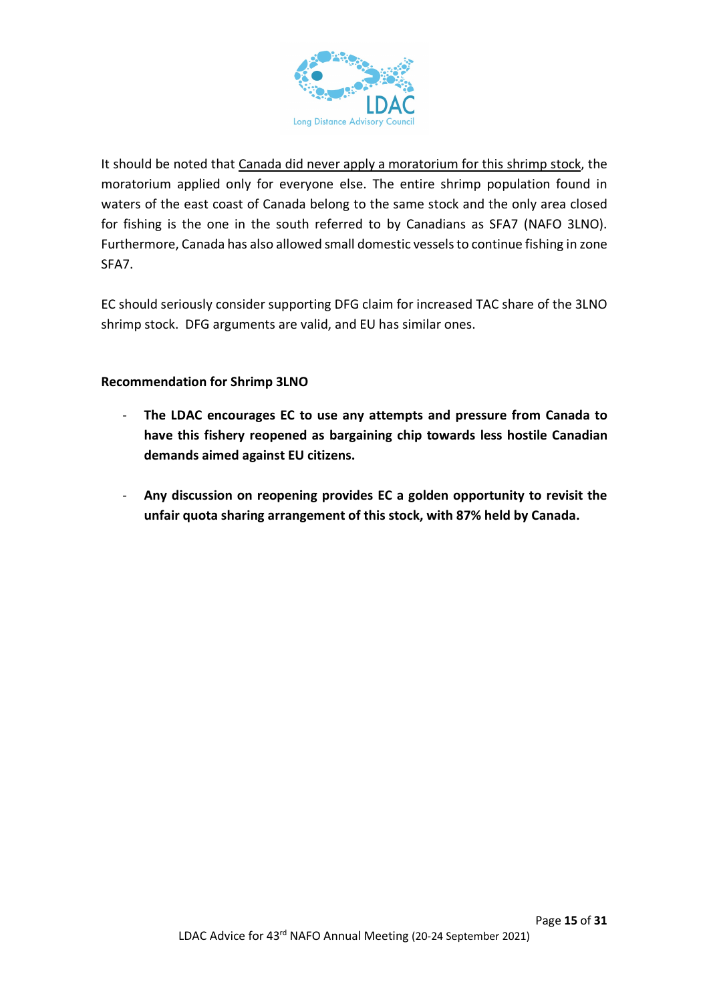

It should be noted that Canada did never apply a moratorium for this shrimp stock, the moratorium applied only for everyone else. The entire shrimp population found in waters of the east coast of Canada belong to the same stock and the only area closed for fishing is the one in the south referred to by Canadians as SFA7 (NAFO 3LNO). Furthermore, Canada has also allowed small domestic vessels to continue fishing in zone SFA7.

EC should seriously consider supporting DFG claim for increased TAC share of the 3LNO shrimp stock. DFG arguments are valid, and EU has similar ones.

#### **Recommendation for Shrimp 3LNO**

- **The LDAC encourages EC to use any attempts and pressure from Canada to have this fishery reopened as bargaining chip towards less hostile Canadian demands aimed against EU citizens.**
- **Any discussion on reopening provides EC a golden opportunity to revisit the unfair quota sharing arrangement of this stock, with 87% held by Canada.**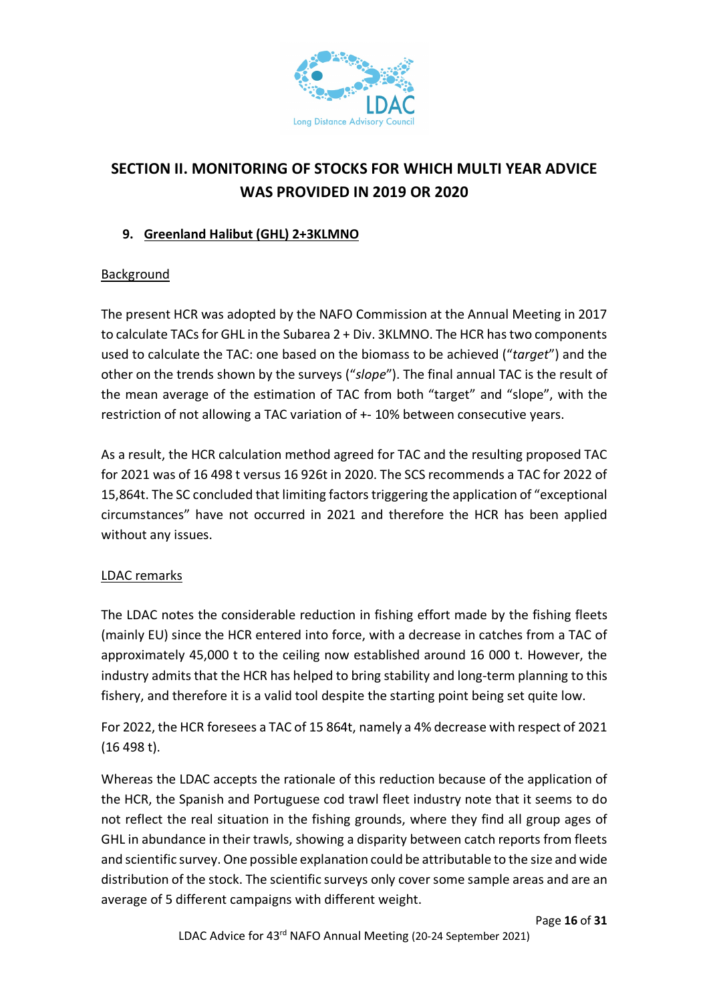

# **SECTION II. MONITORING OF STOCKS FOR WHICH MULTI YEAR ADVICE WAS PROVIDED IN 2019 OR 2020**

## **9. Greenland Halibut (GHL) 2+3KLMNO**

## Background

The present HCR was adopted by the NAFO Commission at the Annual Meeting in 2017 to calculate TACs for GHL in the Subarea 2 + Div. 3KLMNO. The HCR has two components used to calculate the TAC: one based on the biomass to be achieved ("*target*") and the other on the trends shown by the surveys ("*slope*"). The final annual TAC is the result of the mean average of the estimation of TAC from both "target" and "slope", with the restriction of not allowing a TAC variation of +- 10% between consecutive years.

As a result, the HCR calculation method agreed for TAC and the resulting proposed TAC for 2021 was of 16 498 t versus 16 926t in 2020. The SCS recommends a TAC for 2022 of 15,864t. The SC concluded that limiting factors triggering the application of "exceptional circumstances" have not occurred in 2021 and therefore the HCR has been applied without any issues.

#### LDAC remarks

The LDAC notes the considerable reduction in fishing effort made by the fishing fleets (mainly EU) since the HCR entered into force, with a decrease in catches from a TAC of approximately 45,000 t to the ceiling now established around 16 000 t. However, the industry admits that the HCR has helped to bring stability and long-term planning to this fishery, and therefore it is a valid tool despite the starting point being set quite low.

For 2022, the HCR foresees a TAC of 15 864t, namely a 4% decrease with respect of 2021 (16 498 t).

Whereas the LDAC accepts the rationale of this reduction because of the application of the HCR, the Spanish and Portuguese cod trawl fleet industry note that it seems to do not reflect the real situation in the fishing grounds, where they find all group ages of GHL in abundance in their trawls, showing a disparity between catch reports from fleets and scientific survey. One possible explanation could be attributable to the size and wide distribution of the stock. The scientific surveys only cover some sample areas and are an average of 5 different campaigns with different weight.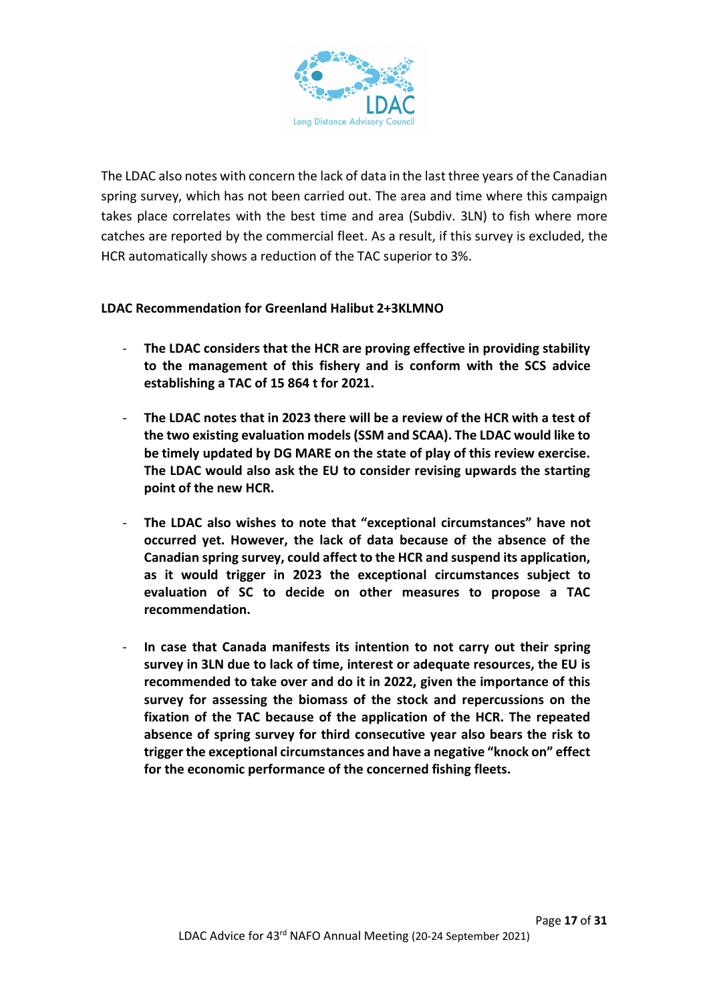

The LDAC also notes with concern the lack of data in the last three years of the Canadian spring survey, which has not been carried out. The area and time where this campaign takes place correlates with the best time and area (Subdiv. 3LN) to fish where more catches are reported by the commercial fleet. As a result, if this survey is excluded, the HCR automatically shows a reduction of the TAC superior to 3%.

#### **LDAC Recommendation for Greenland Halibut 2+3KLMNO**

- **The LDAC considers that the HCR are proving effective in providing stability to the management of this fishery and is conform with the SCS advice establishing a TAC of 15 864 t for 2021.**
- **The LDAC notes that in 2023 there will be a review of the HCR with a test of the two existing evaluation models (SSM and SCAA). The LDAC would like to be timely updated by DG MARE on the state of play of this review exercise. The LDAC would also ask the EU to consider revising upwards the starting point of the new HCR.**
- **The LDAC also wishes to note that "exceptional circumstances" have not occurred yet. However, the lack of data because of the absence of the Canadian spring survey, could affect to the HCR and suspend its application, as it would trigger in 2023 the exceptional circumstances subject to evaluation of SC to decide on other measures to propose a TAC recommendation.**
- **In case that Canada manifests its intention to not carry out their spring survey in 3LN due to lack of time, interest or adequate resources, the EU is recommended to take over and do it in 2022, given the importance of this survey for assessing the biomass of the stock and repercussions on the fixation of the TAC because of the application of the HCR. The repeated absence of spring survey for third consecutive year also bears the risk to trigger the exceptional circumstances and have a negative "knock on" effect for the economic performance of the concerned fishing fleets.**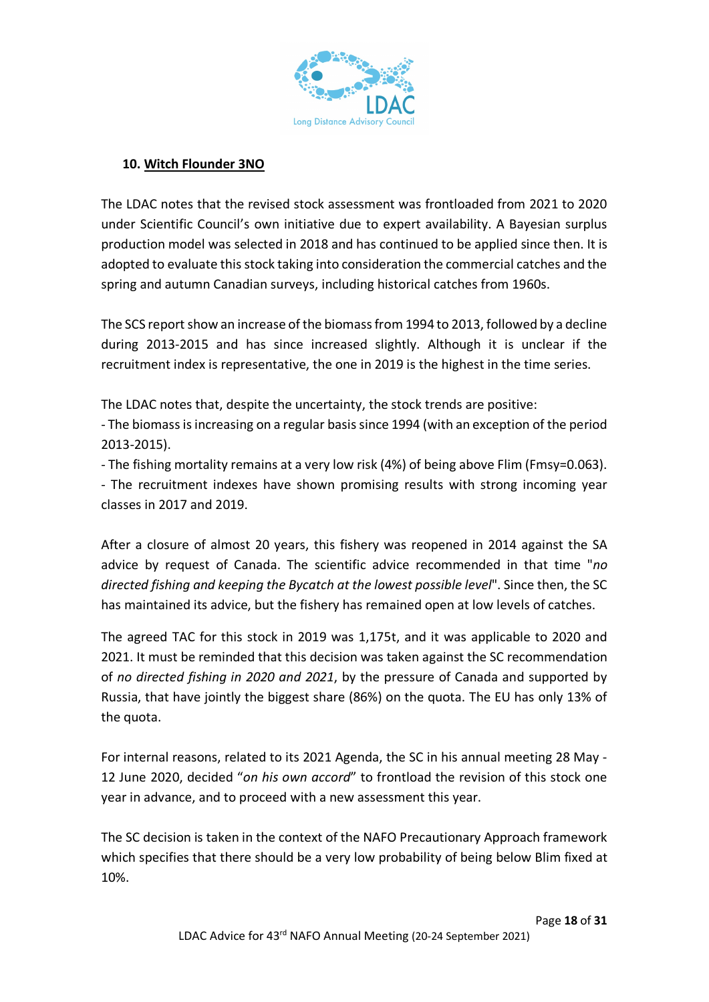

#### **10. Witch Flounder 3NO**

The LDAC notes that the revised stock assessment was frontloaded from 2021 to 2020 under Scientific Council's own initiative due to expert availability. A Bayesian surplus production model was selected in 2018 and has continued to be applied since then. It is adopted to evaluate this stock taking into consideration the commercial catches and the spring and autumn Canadian surveys, including historical catches from 1960s.

The SCS report show an increase of the biomass from 1994 to 2013, followed by a decline during 2013-2015 and has since increased slightly. Although it is unclear if the recruitment index is representative, the one in 2019 is the highest in the time series.

The LDAC notes that, despite the uncertainty, the stock trends are positive:

- The biomass is increasing on a regular basis since 1994 (with an exception of the period 2013-2015).

- The fishing mortality remains at a very low risk (4%) of being above Flim (Fmsy=0.063). - The recruitment indexes have shown promising results with strong incoming year classes in 2017 and 2019.

After a closure of almost 20 years, this fishery was reopened in 2014 against the SA advice by request of Canada. The scientific advice recommended in that time "*no directed fishing and keeping the Bycatch at the lowest possible level*". Since then, the SC has maintained its advice, but the fishery has remained open at low levels of catches.

The agreed TAC for this stock in 2019 was 1,175t, and it was applicable to 2020 and 2021. It must be reminded that this decision was taken against the SC recommendation of *no directed fishing in 2020 and 2021*, by the pressure of Canada and supported by Russia, that have jointly the biggest share (86%) on the quota. The EU has only 13% of the quota.

For internal reasons, related to its 2021 Agenda, the SC in his annual meeting 28 May - 12 June 2020, decided "*on his own accord*" to frontload the revision of this stock one year in advance, and to proceed with a new assessment this year.

The SC decision is taken in the context of the NAFO Precautionary Approach framework which specifies that there should be a very low probability of being below Blim fixed at 10%.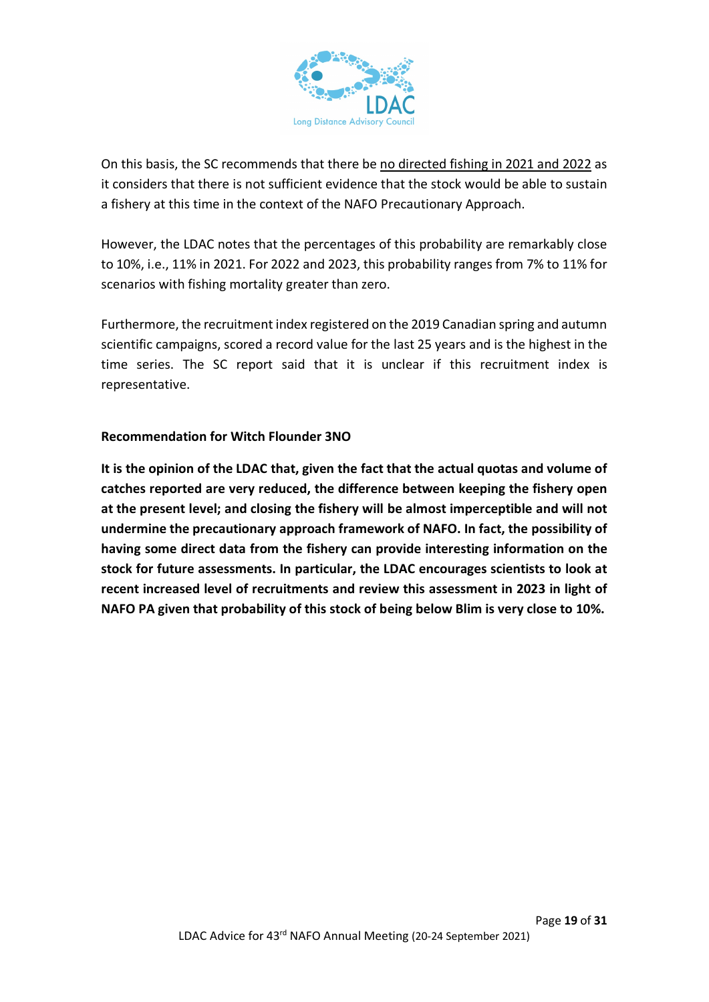

On this basis, the SC recommends that there be no directed fishing in 2021 and 2022 as it considers that there is not sufficient evidence that the stock would be able to sustain a fishery at this time in the context of the NAFO Precautionary Approach.

However, the LDAC notes that the percentages of this probability are remarkably close to 10%, i.e., 11% in 2021. For 2022 and 2023, this probability ranges from 7% to 11% for scenarios with fishing mortality greater than zero.

Furthermore, the recruitment index registered on the 2019 Canadian spring and autumn scientific campaigns, scored a record value for the last 25 years and is the highest in the time series. The SC report said that it is unclear if this recruitment index is representative.

## **Recommendation for Witch Flounder 3NO**

**It is the opinion of the LDAC that, given the fact that the actual quotas and volume of catches reported are very reduced, the difference between keeping the fishery open at the present level; and closing the fishery will be almost imperceptible and will not undermine the precautionary approach framework of NAFO. In fact, the possibility of having some direct data from the fishery can provide interesting information on the stock for future assessments. In particular, the LDAC encourages scientists to look at recent increased level of recruitments and review this assessment in 2023 in light of NAFO PA given that probability of this stock of being below Blim is very close to 10%.**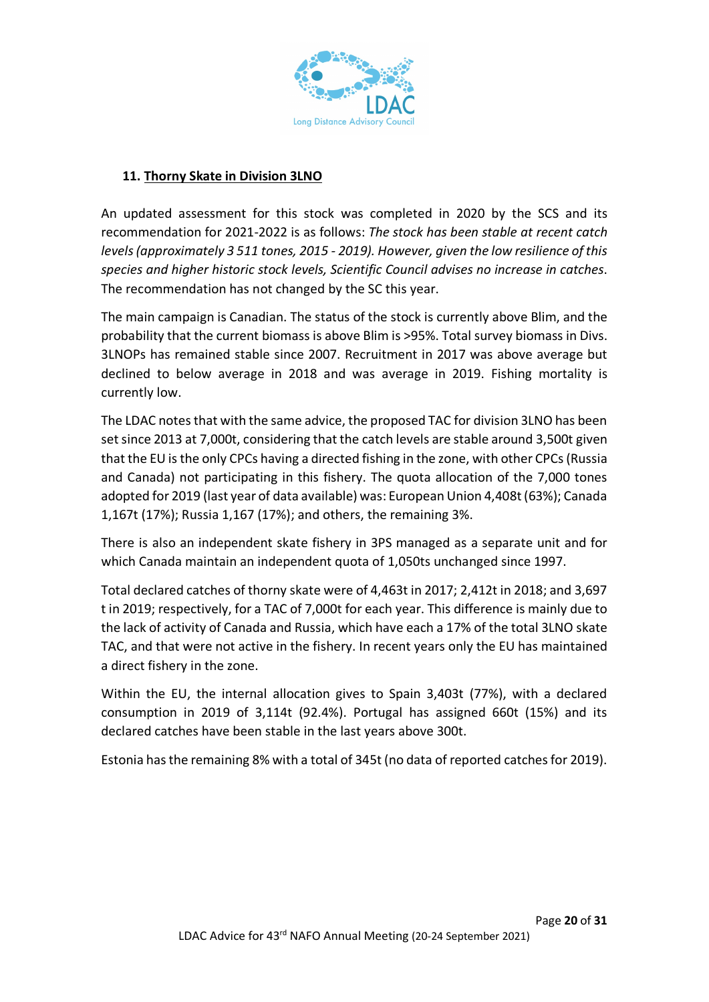

## **11. Thorny Skate in Division 3LNO**

An updated assessment for this stock was completed in 2020 by the SCS and its recommendation for 2021-2022 is as follows: *The stock has been stable at recent catch levels (approximately 3 511 tones, 2015 - 2019). However, given the low resilience of this species and higher historic stock levels, Scientific Council advises no increase in catches*. The recommendation has not changed by the SC this year.

The main campaign is Canadian. The status of the stock is currently above Blim, and the probability that the current biomass is above Blim is >95%. Total survey biomass in Divs. 3LNOPs has remained stable since 2007. Recruitment in 2017 was above average but declined to below average in 2018 and was average in 2019. Fishing mortality is currently low.

The LDAC notes that with the same advice, the proposed TAC for division 3LNO has been set since 2013 at 7,000t, considering that the catch levels are stable around 3,500t given that the EU is the only CPCs having a directed fishing in the zone, with other CPCs (Russia and Canada) not participating in this fishery. The quota allocation of the 7,000 tones adopted for 2019 (last year of data available) was: European Union 4,408t (63%); Canada 1,167t (17%); Russia 1,167 (17%); and others, the remaining 3%.

There is also an independent skate fishery in 3PS managed as a separate unit and for which Canada maintain an independent quota of 1,050ts unchanged since 1997.

Total declared catches of thorny skate were of 4,463t in 2017; 2,412t in 2018; and 3,697 t in 2019; respectively, for a TAC of 7,000t for each year. This difference is mainly due to the lack of activity of Canada and Russia, which have each a 17% of the total 3LNO skate TAC, and that were not active in the fishery. In recent years only the EU has maintained a direct fishery in the zone.

Within the EU, the internal allocation gives to Spain 3,403t (77%), with a declared consumption in 2019 of 3,114t (92.4%). Portugal has assigned 660t (15%) and its declared catches have been stable in the last years above 300t.

Estonia has the remaining 8% with a total of 345t (no data of reported catches for 2019).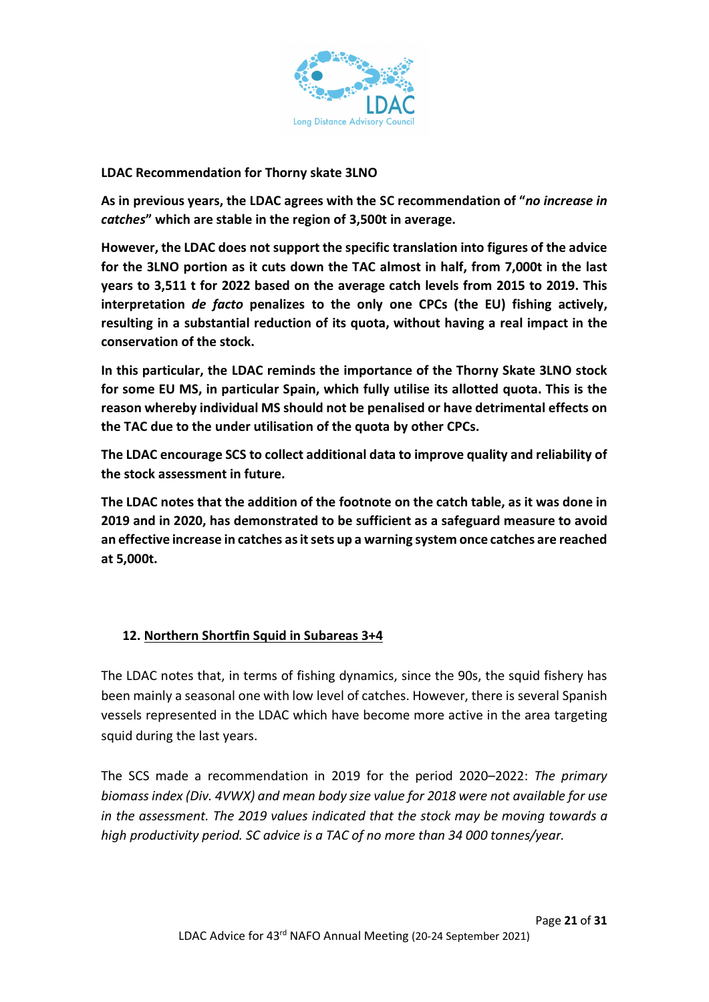

#### **LDAC Recommendation for Thorny skate 3LNO**

**As in previous years, the LDAC agrees with the SC recommendation of "***no increase in catches***" which are stable in the region of 3,500t in average.** 

**However, the LDAC does not support the specific translation into figures of the advice for the 3LNO portion as it cuts down the TAC almost in half, from 7,000t in the last years to 3,511 t for 2022 based on the average catch levels from 2015 to 2019. This interpretation** *de facto* **penalizes to the only one CPCs (the EU) fishing actively, resulting in a substantial reduction of its quota, without having a real impact in the conservation of the stock.** 

**In this particular, the LDAC reminds the importance of the Thorny Skate 3LNO stock for some EU MS, in particular Spain, which fully utilise its allotted quota. This is the reason whereby individual MS should not be penalised or have detrimental effects on the TAC due to the under utilisation of the quota by other CPCs.** 

**The LDAC encourage SCS to collect additional data to improve quality and reliability of the stock assessment in future.**

**The LDAC notes that the addition of the footnote on the catch table, as it was done in 2019 and in 2020, has demonstrated to be sufficient as a safeguard measure to avoid an effective increase in catches as it sets up a warning system once catches are reached at 5,000t.**

#### **12. Northern Shortfin Squid in Subareas 3+4**

The LDAC notes that, in terms of fishing dynamics, since the 90s, the squid fishery has been mainly a seasonal one with low level of catches. However, there is several Spanish vessels represented in the LDAC which have become more active in the area targeting squid during the last years.

The SCS made a recommendation in 2019 for the period 2020–2022: *The primary biomass index (Div. 4VWX) and mean body size value for 2018 were not available for use in the assessment. The 2019 values indicated that the stock may be moving towards a high productivity period. SC advice is a TAC of no more than 34 000 tonnes/year.*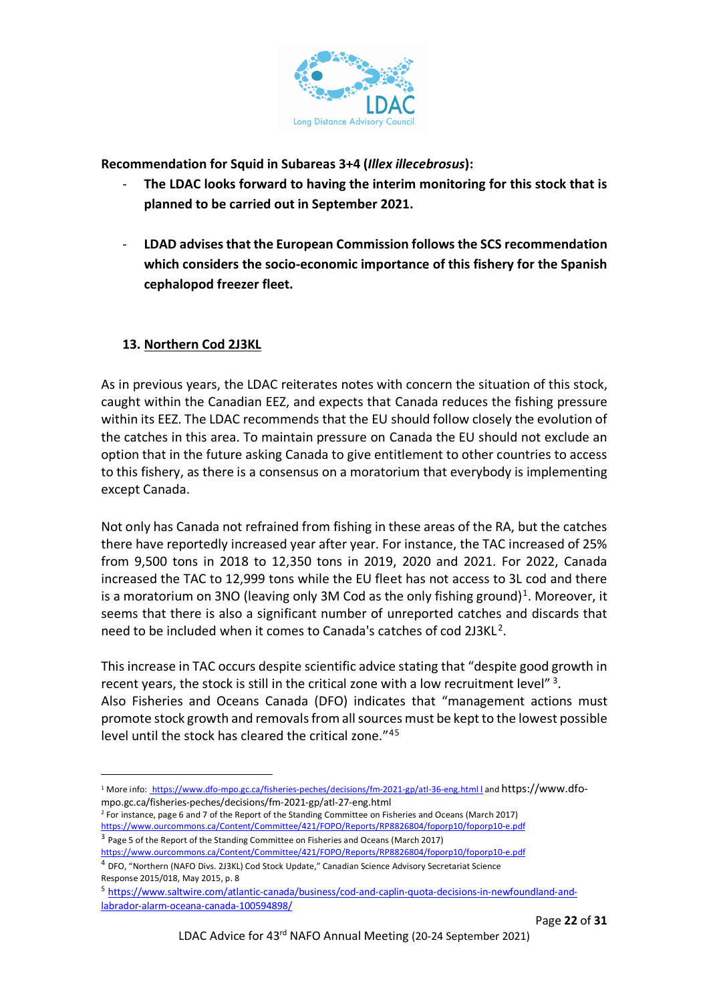

**Recommendation for Squid in Subareas 3+4 (***Illex illecebrosus***):**

- **The LDAC looks forward to having the interim monitoring for this stock that is planned to be carried out in September 2021.**
- **LDAD advises that the European Commission follows the SCS recommendation which considers the socio-economic importance of this fishery for the Spanish cephalopod freezer fleet.**

#### **13. Northern Cod 2J3KL**

As in previous years, the LDAC reiterates notes with concern the situation of this stock, caught within the Canadian EEZ, and expects that Canada reduces the fishing pressure within its EEZ. The LDAC recommends that the EU should follow closely the evolution of the catches in this area. To maintain pressure on Canada the EU should not exclude an option that in the future asking Canada to give entitlement to other countries to access to this fishery, as there is a consensus on a moratorium that everybody is implementing except Canada.

Not only has Canada not refrained from fishing in these areas of the RA, but the catches there have reportedly increased year after year. For instance, the TAC increased of 25% from 9,500 tons in 2018 to 12,350 tons in 2019, 2020 and 2021. For 2022, Canada increased the TAC to 12,999 tons while the EU fleet has not access to 3L cod and there is a moratorium on 3NO (leaving only 3M Cod as the only fishing ground)<sup>[1](#page-21-0)</sup>. Moreover, it seems that there is also a significant number of unreported catches and discards that need to be included when it comes to Canada's catches of cod [2](#page-21-1)J3KL<sup>2</sup>.

This increase in TAC occurs despite scientific advice stating that "despite good growth in recent years, the stock is still in the critical zone with a low recruitment level"  $3$ . Also Fisheries and Oceans Canada (DFO) indicates that "management actions must promote stock growth and removals from all sources must be kept to the lowest possible level until the stock has cleared the critical zone."[4](#page-21-3)[5](#page-21-4)

<span id="page-21-0"></span><sup>1</sup> More info: https://www.dfo-mpo.gc.ca/fisheries-peches/decisions/fm-2021-gp/atl-36-eng.html l and https://www.dfompo.gc.ca/fisheries-peches/decisions/fm-2021-gp/atl-27-eng.html

<span id="page-21-1"></span><sup>2</sup> For instance, page 6 and 7 of the Report of the Standing Committee on Fisheries and Oceans (March 2017) <https://www.ourcommons.ca/Content/Committee/421/FOPO/Reports/RP8826804/foporp10/foporp10-e.pdf> <sup>3</sup> Page 5 of the Report of the Standing Committee on Fisheries and Oceans (March 2017)

<span id="page-21-2"></span><https://www.ourcommons.ca/Content/Committee/421/FOPO/Reports/RP8826804/foporp10/foporp10-e.pdf>

<span id="page-21-3"></span><sup>4</sup> DFO, "Northern (NAFO Divs. 2J3KL) Cod Stock Update," Canadian Science Advisory Secretariat Science Response 2015/018, May 2015, p. 8

<span id="page-21-4"></span><sup>5</sup> [https://www.saltwire.com/atlantic-canada/business/cod-and-caplin-quota-decisions-in-newfoundland-and](https://www.saltwire.com/atlantic-canada/business/cod-and-caplin-quota-decisions-in-newfoundland-and-labrador-alarm-oceana-canada-100594898/)[labrador-alarm-oceana-canada-100594898/](https://www.saltwire.com/atlantic-canada/business/cod-and-caplin-quota-decisions-in-newfoundland-and-labrador-alarm-oceana-canada-100594898/)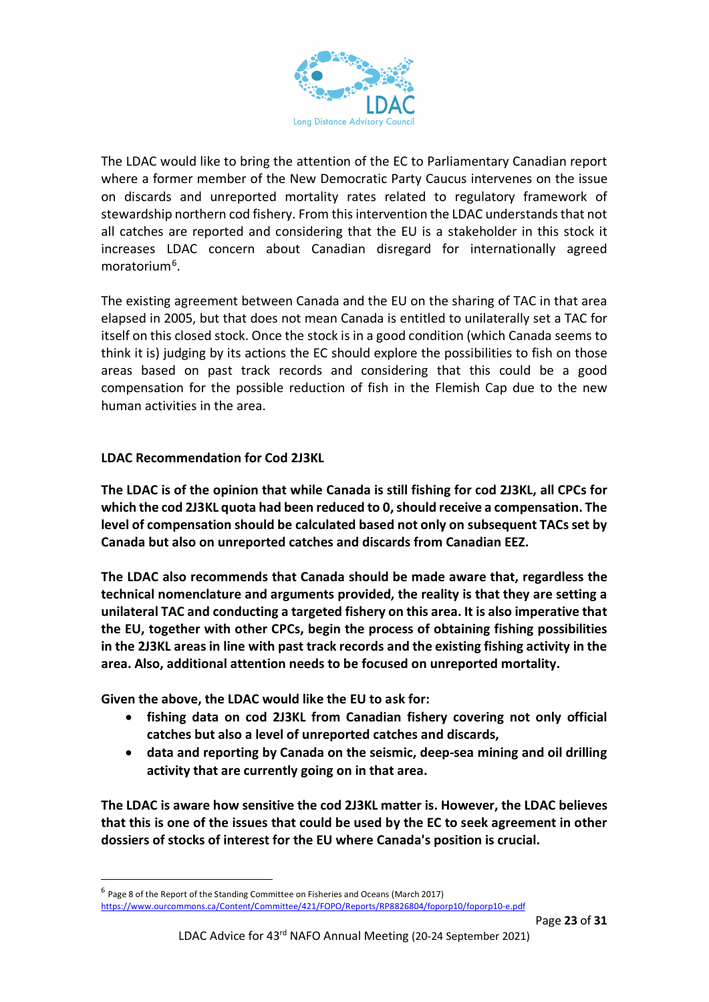

The LDAC would like to bring the attention of the EC to Parliamentary Canadian report where a former member of the New Democratic Party Caucus intervenes on the issue on discards and unreported mortality rates related to regulatory framework of stewardship northern cod fishery. From this intervention the LDAC understands that not all catches are reported and considering that the EU is a stakeholder in this stock it increases LDAC concern about Canadian disregard for internationally agreed moratorium<sup>[6](#page-22-0)</sup>.

The existing agreement between Canada and the EU on the sharing of TAC in that area elapsed in 2005, but that does not mean Canada is entitled to unilaterally set a TAC for itself on this closed stock. Once the stock is in a good condition (which Canada seems to think it is) judging by its actions the EC should explore the possibilities to fish on those areas based on past track records and considering that this could be a good compensation for the possible reduction of fish in the Flemish Cap due to the new human activities in the area.

#### **LDAC Recommendation for Cod 2J3KL**

**The LDAC is of the opinion that while Canada is still fishing for cod 2J3KL, all CPCs for which the cod 2J3KL quota had been reduced to 0, should receive a compensation. The level of compensation should be calculated based not only on subsequent TACs set by Canada but also on unreported catches and discards from Canadian EEZ.**

**The LDAC also recommends that Canada should be made aware that, regardless the technical nomenclature and arguments provided, the reality is that they are setting a unilateral TAC and conducting a targeted fishery on this area. It is also imperative that the EU, together with other CPCs, begin the process of obtaining fishing possibilities in the 2J3KL areas in line with past track records and the existing fishing activity in the area. Also, additional attention needs to be focused on unreported mortality.** 

**Given the above, the LDAC would like the EU to ask for:**

- **fishing data on cod 2J3KL from Canadian fishery covering not only official catches but also a level of unreported catches and discards,**
- **data and reporting by Canada on the seismic, deep-sea mining and oil drilling activity that are currently going on in that area.**

**The LDAC is aware how sensitive the cod 2J3KL matter is. However, the LDAC believes that this is one of the issues that could be used by the EC to seek agreement in other dossiers of stocks of interest for the EU where Canada's position is crucial.**

<span id="page-22-0"></span> $^6$  Page 8 of the Report of the Standing Committee on Fisheries and Oceans (March 2017) <https://www.ourcommons.ca/Content/Committee/421/FOPO/Reports/RP8826804/foporp10/foporp10-e.pdf>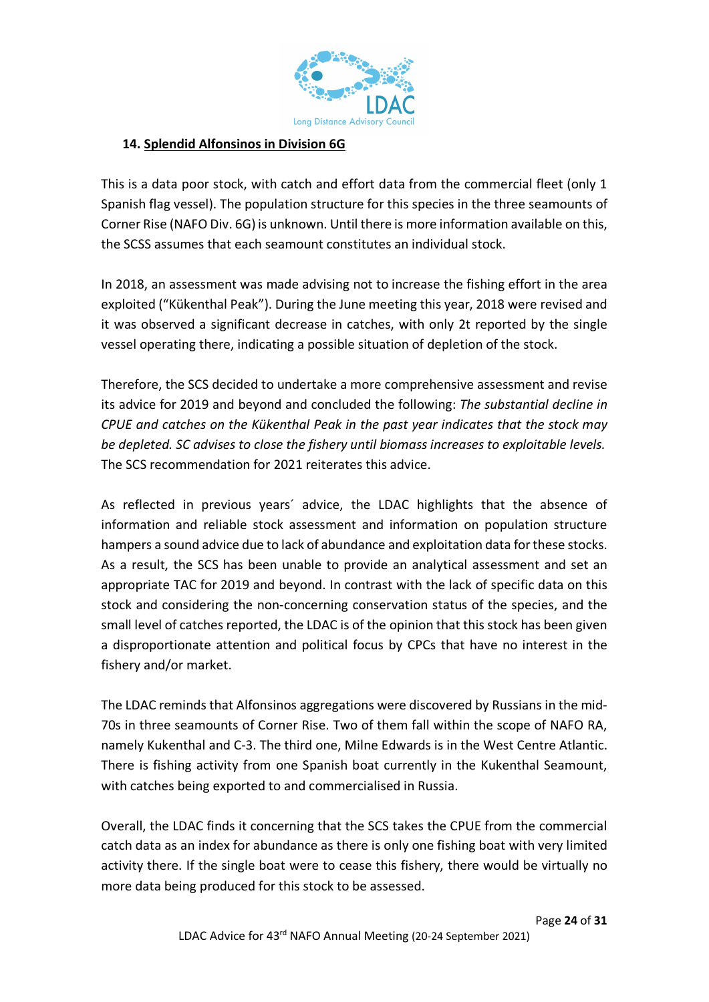

## **14. Splendid Alfonsinos in Division 6G**

This is a data poor stock, with catch and effort data from the commercial fleet (only 1 Spanish flag vessel). The population structure for this species in the three seamounts of Corner Rise (NAFO Div. 6G) is unknown. Until there is more information available on this, the SCSS assumes that each seamount constitutes an individual stock.

In 2018, an assessment was made advising not to increase the fishing effort in the area exploited ("Kükenthal Peak"). During the June meeting this year, 2018 were revised and it was observed a significant decrease in catches, with only 2t reported by the single vessel operating there, indicating a possible situation of depletion of the stock.

Therefore, the SCS decided to undertake a more comprehensive assessment and revise its advice for 2019 and beyond and concluded the following: *The substantial decline in CPUE and catches on the Kükenthal Peak in the past year indicates that the stock may be depleted. SC advises to close the fishery until biomass increases to exploitable levels.* The SCS recommendation for 2021 reiterates this advice.

As reflected in previous years´ advice, the LDAC highlights that the absence of information and reliable stock assessment and information on population structure hampers a sound advice due to lack of abundance and exploitation data for these stocks. As a result, the SCS has been unable to provide an analytical assessment and set an appropriate TAC for 2019 and beyond. In contrast with the lack of specific data on this stock and considering the non-concerning conservation status of the species, and the small level of catches reported, the LDAC is of the opinion that this stock has been given a disproportionate attention and political focus by CPCs that have no interest in the fishery and/or market.

The LDAC reminds that Alfonsinos aggregations were discovered by Russians in the mid-70s in three seamounts of Corner Rise. Two of them fall within the scope of NAFO RA, namely Kukenthal and C-3. The third one, Milne Edwards is in the West Centre Atlantic. There is fishing activity from one Spanish boat currently in the Kukenthal Seamount, with catches being exported to and commercialised in Russia.

Overall, the LDAC finds it concerning that the SCS takes the CPUE from the commercial catch data as an index for abundance as there is only one fishing boat with very limited activity there. If the single boat were to cease this fishery, there would be virtually no more data being produced for this stock to be assessed.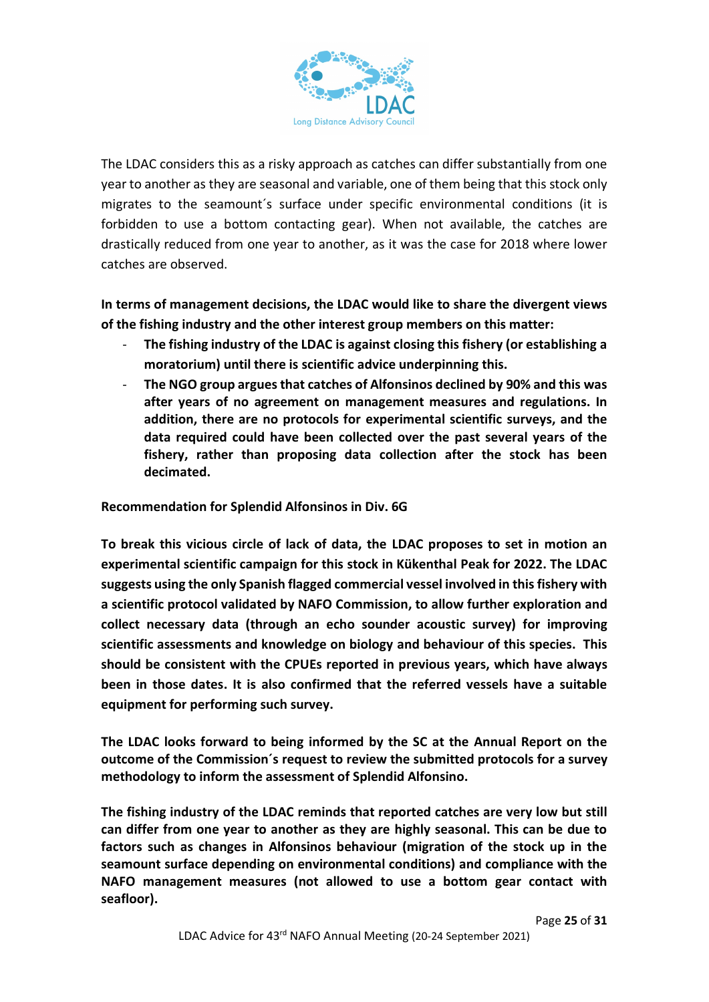

The LDAC considers this as a risky approach as catches can differ substantially from one year to another as they are seasonal and variable, one of them being that this stock only migrates to the seamount´s surface under specific environmental conditions (it is forbidden to use a bottom contacting gear). When not available, the catches are drastically reduced from one year to another, as it was the case for 2018 where lower catches are observed.

**In terms of management decisions, the LDAC would like to share the divergent views of the fishing industry and the other interest group members on this matter:**

- The fishing industry of the LDAC is against closing this fishery (or establishing a **moratorium) until there is scientific advice underpinning this.**
- **The NGO group argues that catches of Alfonsinos declined by 90% and this was after years of no agreement on management measures and regulations. In addition, there are no protocols for experimental scientific surveys, and the data required could have been collected over the past several years of the fishery, rather than proposing data collection after the stock has been decimated.**

**Recommendation for Splendid Alfonsinos in Div. 6G**

**To break this vicious circle of lack of data, the LDAC proposes to set in motion an experimental scientific campaign for this stock in Kükenthal Peak for 2022. The LDAC suggests using the only Spanish flagged commercial vessel involved in this fishery with a scientific protocol validated by NAFO Commission, to allow further exploration and collect necessary data (through an echo sounder acoustic survey) for improving scientific assessments and knowledge on biology and behaviour of this species. This should be consistent with the CPUEs reported in previous years, which have always been in those dates. It is also confirmed that the referred vessels have a suitable equipment for performing such survey.**

**The LDAC looks forward to being informed by the SC at the Annual Report on the outcome of the Commission´s request to review the submitted protocols for a survey methodology to inform the assessment of Splendid Alfonsino.** 

**The fishing industry of the LDAC reminds that reported catches are very low but still can differ from one year to another as they are highly seasonal. This can be due to factors such as changes in Alfonsinos behaviour (migration of the stock up in the seamount surface depending on environmental conditions) and compliance with the NAFO management measures (not allowed to use a bottom gear contact with seafloor).**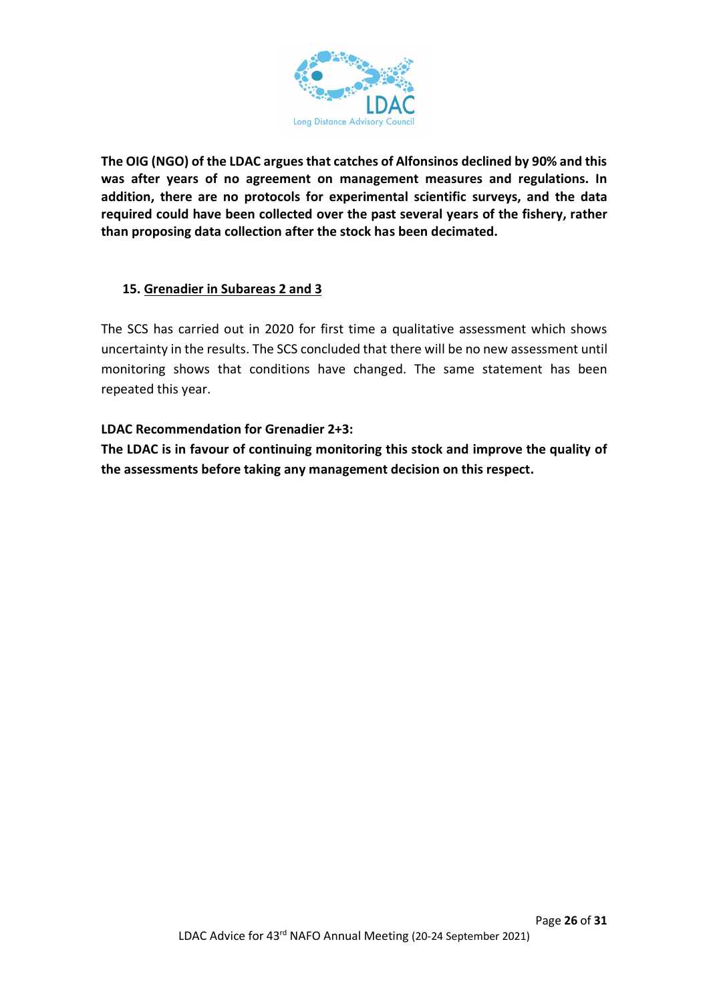

**The OIG (NGO) of the LDAC argues that catches of Alfonsinos declined by 90% and this was after years of no agreement on management measures and regulations. In addition, there are no protocols for experimental scientific surveys, and the data required could have been collected over the past several years of the fishery, rather than proposing data collection after the stock has been decimated.** 

## **15. Grenadier in Subareas 2 and 3**

The SCS has carried out in 2020 for first time a qualitative assessment which shows uncertainty in the results. The SCS concluded that there will be no new assessment until monitoring shows that conditions have changed. The same statement has been repeated this year.

#### **LDAC Recommendation for Grenadier 2+3:**

**The LDAC is in favour of continuing monitoring this stock and improve the quality of the assessments before taking any management decision on this respect.**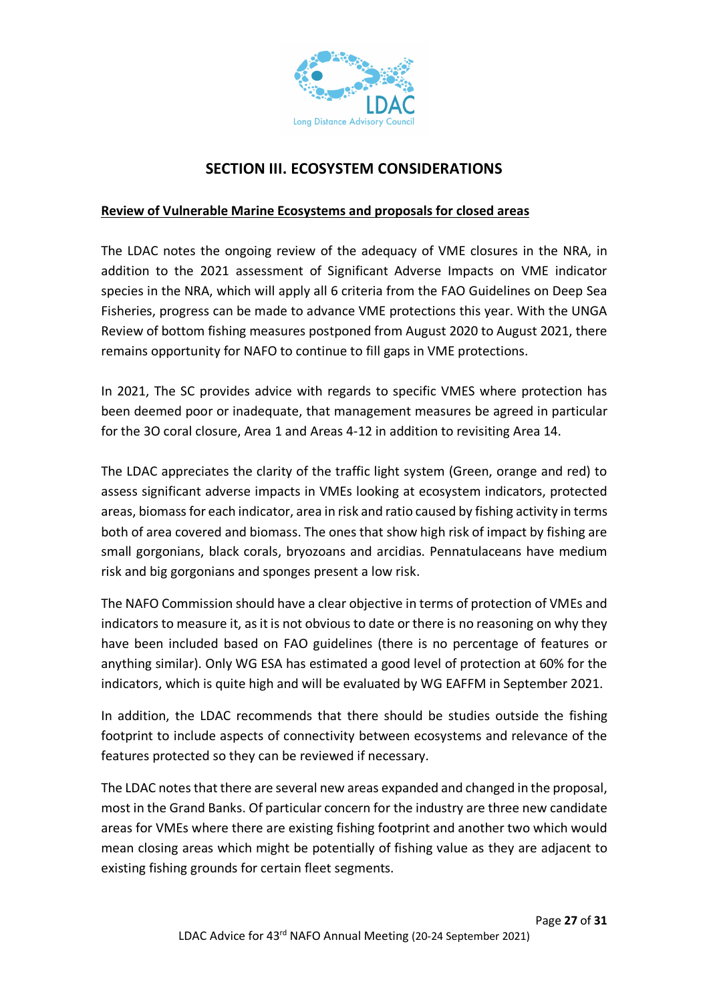

## **SECTION III. ECOSYSTEM CONSIDERATIONS**

#### **Review of Vulnerable Marine Ecosystems and proposals for closed areas**

The LDAC notes the ongoing review of the adequacy of VME closures in the NRA, in addition to the 2021 assessment of Significant Adverse Impacts on VME indicator species in the NRA, which will apply all 6 criteria from the FAO Guidelines on Deep Sea Fisheries, progress can be made to advance VME protections this year. With the UNGA Review of bottom fishing measures postponed from August 2020 to August 2021, there remains opportunity for NAFO to continue to fill gaps in VME protections.

In 2021, The SC provides advice with regards to specific VMES where protection has been deemed poor or inadequate, that management measures be agreed in particular for the 3O coral closure, Area 1 and Areas 4-12 in addition to revisiting Area 14.

The LDAC appreciates the clarity of the traffic light system (Green, orange and red) to assess significant adverse impacts in VMEs looking at ecosystem indicators, protected areas, biomass for each indicator, area in risk and ratio caused by fishing activity in terms both of area covered and biomass. The ones that show high risk of impact by fishing are small gorgonians, black corals, bryozoans and arcidias. Pennatulaceans have medium risk and big gorgonians and sponges present a low risk.

The NAFO Commission should have a clear objective in terms of protection of VMEs and indicators to measure it, as it is not obvious to date or there is no reasoning on why they have been included based on FAO guidelines (there is no percentage of features or anything similar). Only WG ESA has estimated a good level of protection at 60% for the indicators, which is quite high and will be evaluated by WG EAFFM in September 2021.

In addition, the LDAC recommends that there should be studies outside the fishing footprint to include aspects of connectivity between ecosystems and relevance of the features protected so they can be reviewed if necessary.

The LDAC notes that there are several new areas expanded and changed in the proposal, most in the Grand Banks. Of particular concern for the industry are three new candidate areas for VMEs where there are existing fishing footprint and another two which would mean closing areas which might be potentially of fishing value as they are adjacent to existing fishing grounds for certain fleet segments.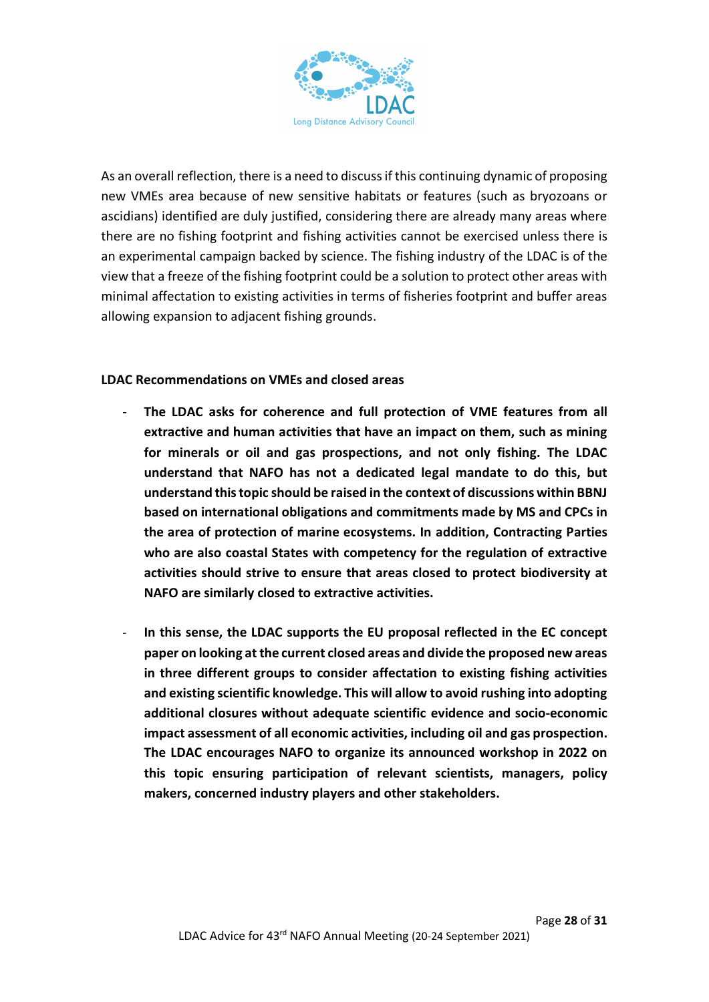

As an overall reflection, there is a need to discuss if this continuing dynamic of proposing new VMEs area because of new sensitive habitats or features (such as bryozoans or ascidians) identified are duly justified, considering there are already many areas where there are no fishing footprint and fishing activities cannot be exercised unless there is an experimental campaign backed by science. The fishing industry of the LDAC is of the view that a freeze of the fishing footprint could be a solution to protect other areas with minimal affectation to existing activities in terms of fisheries footprint and buffer areas allowing expansion to adjacent fishing grounds.

#### **LDAC Recommendations on VMEs and closed areas**

- The LDAC asks for coherence and full protection of VME features from all **extractive and human activities that have an impact on them, such as mining for minerals or oil and gas prospections, and not only fishing. The LDAC understand that NAFO has not a dedicated legal mandate to do this, but understand this topic should be raised in the context of discussions within BBNJ based on international obligations and commitments made by MS and CPCs in the area of protection of marine ecosystems. In addition, Contracting Parties who are also coastal States with competency for the regulation of extractive activities should strive to ensure that areas closed to protect biodiversity at NAFO are similarly closed to extractive activities.**
- **In this sense, the LDAC supports the EU proposal reflected in the EC concept paper on looking at the current closed areas and divide the proposed new areas in three different groups to consider affectation to existing fishing activities and existing scientific knowledge. This will allow to avoid rushing into adopting additional closures without adequate scientific evidence and socio-economic impact assessment of all economic activities, including oil and gas prospection. The LDAC encourages NAFO to organize its announced workshop in 2022 on this topic ensuring participation of relevant scientists, managers, policy makers, concerned industry players and other stakeholders.**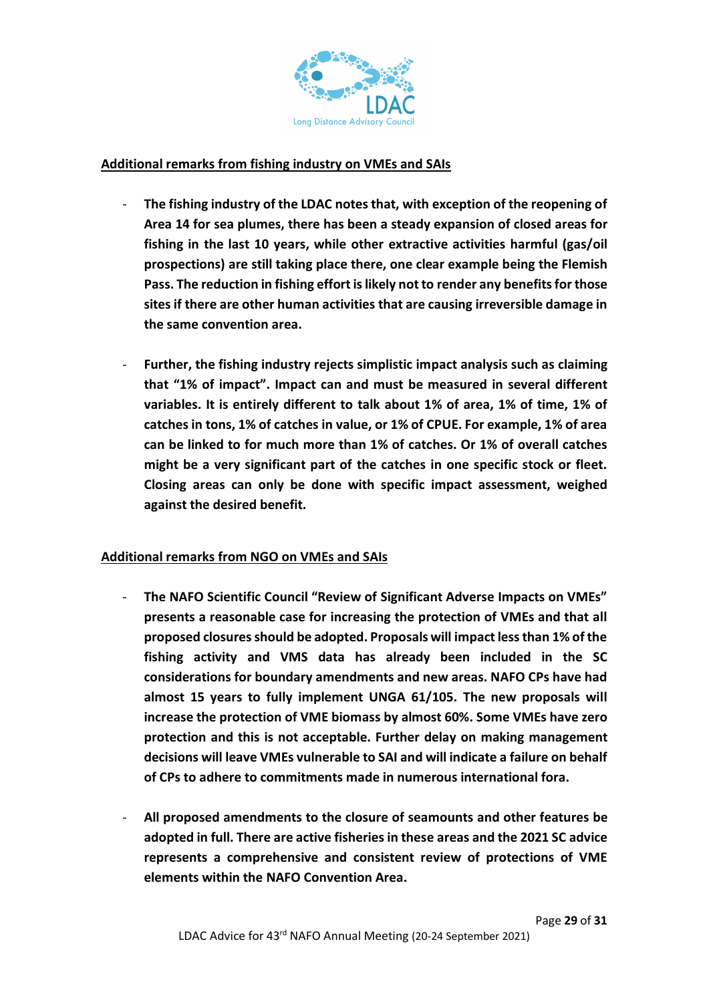

#### **Additional remarks from fishing industry on VMEs and SAIs**

- **The fishing industry of the LDAC notes that, with exception of the reopening of Area 14 for sea plumes, there has been a steady expansion of closed areas for fishing in the last 10 years, while other extractive activities harmful (gas/oil prospections) are still taking place there, one clear example being the Flemish Pass. The reduction in fishing effort is likely not to render any benefits for those sites if there are other human activities that are causing irreversible damage in the same convention area.**
- Further, the fishing industry rejects simplistic impact analysis such as claiming **that "1% of impact". Impact can and must be measured in several different variables. It is entirely different to talk about 1% of area, 1% of time, 1% of catches in tons, 1% of catches in value, or 1% of CPUE. For example, 1% of area can be linked to for much more than 1% of catches. Or 1% of overall catches might be a very significant part of the catches in one specific stock or fleet. Closing areas can only be done with specific impact assessment, weighed against the desired benefit.**

#### **Additional remarks from NGO on VMEs and SAIs**

- **The NAFO Scientific Council "Review of Significant Adverse Impacts on VMEs" presents a reasonable case for increasing the protection of VMEs and that all proposed closures should be adopted. Proposals will impact less than 1% of the fishing activity and VMS data has already been included in the SC considerations for boundary amendments and new areas. NAFO CPs have had almost 15 years to fully implement UNGA 61/105. The new proposals will increase the protection of VME biomass by almost 60%. Some VMEs have zero protection and this is not acceptable. Further delay on making management decisions will leave VMEs vulnerable to SAI and will indicate a failure on behalf of CPs to adhere to commitments made in numerous international fora.**
- **All proposed amendments to the closure of seamounts and other features be adopted in full. There are active fisheries in these areas and the 2021 SC advice represents a comprehensive and consistent review of protections of VME elements within the NAFO Convention Area.**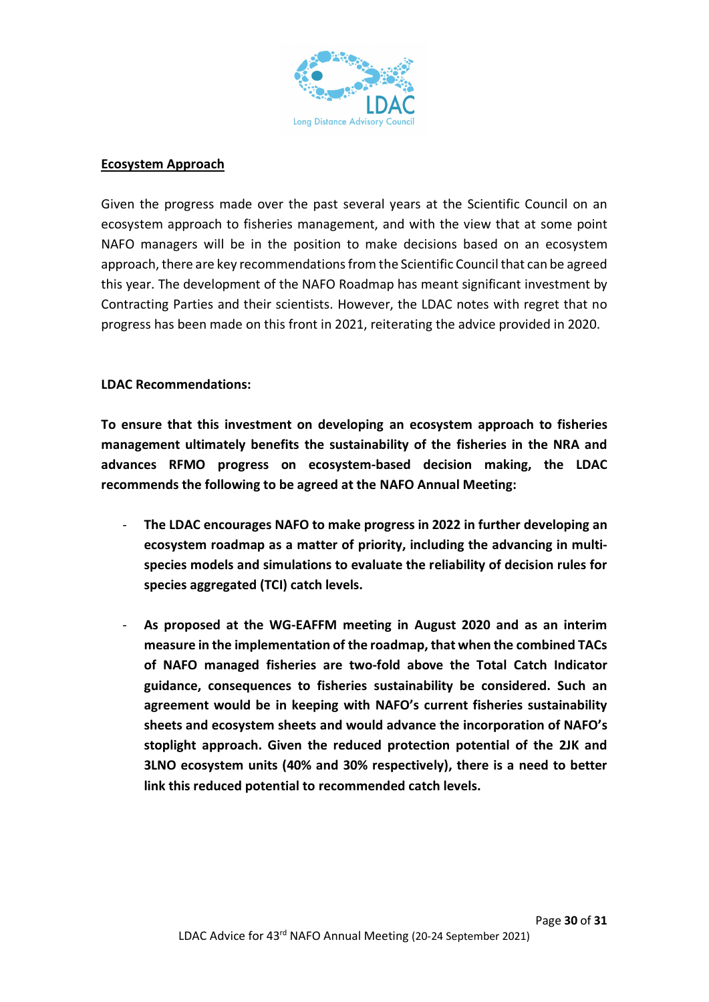

#### **Ecosystem Approach**

Given the progress made over the past several years at the Scientific Council on an ecosystem approach to fisheries management, and with the view that at some point NAFO managers will be in the position to make decisions based on an ecosystem approach, there are key recommendations from the Scientific Council that can be agreed this year. The development of the NAFO Roadmap has meant significant investment by Contracting Parties and their scientists. However, the LDAC notes with regret that no progress has been made on this front in 2021, reiterating the advice provided in 2020.

#### **LDAC Recommendations:**

**To ensure that this investment on developing an ecosystem approach to fisheries management ultimately benefits the sustainability of the fisheries in the NRA and advances RFMO progress on ecosystem-based decision making, the LDAC recommends the following to be agreed at the NAFO Annual Meeting:** 

- **The LDAC encourages NAFO to make progress in 2022 in further developing an ecosystem roadmap as a matter of priority, including the advancing in multispecies models and simulations to evaluate the reliability of decision rules for species aggregated (TCI) catch levels.**
- **As proposed at the WG-EAFFM meeting in August 2020 and as an interim measure in the implementation of the roadmap, that when the combined TACs of NAFO managed fisheries are two-fold above the Total Catch Indicator guidance, consequences to fisheries sustainability be considered. Such an agreement would be in keeping with NAFO's current fisheries sustainability sheets and ecosystem sheets and would advance the incorporation of NAFO's stoplight approach. Given the reduced protection potential of the 2JK and 3LNO ecosystem units (40% and 30% respectively), there is a need to better link this reduced potential to recommended catch levels.**